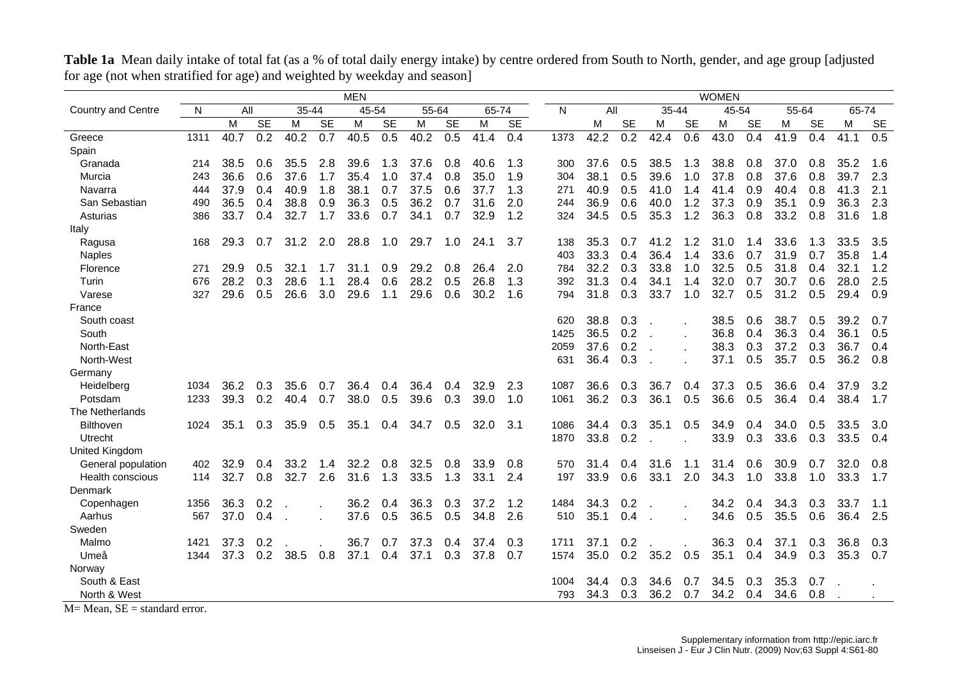| <b>Country and Centre</b><br>All<br>65-74<br>All<br>45-54<br>55-64<br>65-74<br>N<br>35-44<br>45-54<br>55-64<br>N<br>35-44<br><b>SE</b><br><b>SE</b><br><b>SE</b><br><b>SE</b><br>М<br>M<br><b>SE</b><br>M<br>М<br>м<br><b>SE</b><br><b>SE</b><br><b>SE</b><br>Μ<br>м<br><b>SE</b><br>М<br>м<br>М<br>40.2<br>$\overline{0.7}$<br>40.5<br>0.5<br>$\overline{40.2}$<br>$\overline{0.5}$<br>41.4<br>0.4<br>42.2<br>0.2<br>42.4<br>0.6<br>43.0<br>$\overline{0.4}$<br>41.1<br>40.7<br>0.2<br>0.4<br>41.9<br>1373<br>1311<br>Greece | <b>SE</b> |
|-------------------------------------------------------------------------------------------------------------------------------------------------------------------------------------------------------------------------------------------------------------------------------------------------------------------------------------------------------------------------------------------------------------------------------------------------------------------------------------------------------------------------------|-----------|
|                                                                                                                                                                                                                                                                                                                                                                                                                                                                                                                               |           |
|                                                                                                                                                                                                                                                                                                                                                                                                                                                                                                                               |           |
|                                                                                                                                                                                                                                                                                                                                                                                                                                                                                                                               | 0.5       |
| Spain                                                                                                                                                                                                                                                                                                                                                                                                                                                                                                                         |           |
| 35.2<br>38.5<br>35.5<br>2.8<br>39.6<br>1.3<br>40.6<br>1.3<br>37.6<br>38.5<br>1.3<br>38.8<br>0.8<br>Granada<br>214<br>0.6<br>37.6<br>0.8<br>300<br>0.5<br>37.0<br>0.8                                                                                                                                                                                                                                                                                                                                                          | 1.6       |
| 1.7<br>38.1<br>39.6<br>0.8<br>39.7<br>36.6<br>0.6<br>37.6<br>35.4<br>1.0<br>37.4<br>0.8<br>35.0<br>1.9<br>0.5<br>1.0<br>37.8<br>37.6<br>0.8<br>Murcia<br>243<br>304                                                                                                                                                                                                                                                                                                                                                           | 2.3       |
| 1.8<br>38.1<br>37.5<br>1.3<br>1.4<br>41.3<br>37.9<br>0.4<br>40.9<br>0.6<br>37.7<br>40.9<br>0.5<br>41.0<br>0.9<br>40.4<br>0.8<br>Navarra<br>444<br>0.7<br>271<br>41.4                                                                                                                                                                                                                                                                                                                                                          | 2.1       |
| San Sebastian<br>38.8<br>0.9<br>36.3<br>0.5<br>36.2<br>31.6<br>2.0<br>36.9<br>40.0<br>1.2<br>37.3<br>0.9<br>35.1<br>36.3<br>36.5<br>0.4<br>0.7<br>0.6<br>0.9<br>490<br>244                                                                                                                                                                                                                                                                                                                                                    | 2.3       |
| 32.7<br>1.7<br>33.6<br>34.1<br>32.9<br>35.3<br>1.2<br>36.3<br>0.8<br>33.2<br>31.6<br>33.7<br>0.4<br>0.7<br>0.7<br>1.2<br>34.5<br>0.5<br>0.8<br>Asturias<br>386<br>324                                                                                                                                                                                                                                                                                                                                                         | 1.8       |
| Italy                                                                                                                                                                                                                                                                                                                                                                                                                                                                                                                         |           |
| 31.2<br>2.0<br>28.8<br>1.0<br>29.7<br>3.7<br>35.3<br>41.2<br>1.2<br>31.0<br>33.6<br>1.3<br>33.5<br>29.3<br>0.7<br>1.0<br>24.1<br>0.7<br>Ragusa<br>168<br>138<br>1.4                                                                                                                                                                                                                                                                                                                                                           | 3.5       |
| 35.8<br>33.3<br>0.4<br>36.4<br>33.6<br>31.9<br>Naples<br>403<br>1.4<br>0.7<br>0.7                                                                                                                                                                                                                                                                                                                                                                                                                                             | 1.4       |
| 32.2<br>33.8<br>32.5<br>32.1<br>2.0<br>0.3<br>1.0<br>0.5<br>31.8<br>0.4<br>Florence<br>29.9<br>0.5<br>32.1<br>31.1<br>0.9<br>29.2<br>26.4<br>271<br>1.7<br>0.8<br>784                                                                                                                                                                                                                                                                                                                                                         | 1.2       |
| 28.2<br>0.3<br>28.6<br>28.4<br>0.6<br>28.2<br>0.5<br>26.8<br>1.3<br>31.3<br>0.4<br>34.1<br>32.0<br>0.7<br>28.0<br>Turin<br>676<br>1.1<br>392<br>1.4<br>30.7<br>0.6                                                                                                                                                                                                                                                                                                                                                            | 2.5       |
| 29.6<br>26.6<br>3.0<br>29.6<br>30.2<br>1.6<br>31.8<br>33.7<br>1.0<br>32.7<br>0.5<br>29.4<br>0.5<br>29.6<br>1.1<br>0.6<br>0.3<br>31.2<br>0.5<br>Varese<br>327<br>794                                                                                                                                                                                                                                                                                                                                                           | 0.9       |
| France                                                                                                                                                                                                                                                                                                                                                                                                                                                                                                                        |           |
| 39.2<br>South coast<br>620<br>38.8<br>0.3<br>38.5<br>38.7<br>0.5<br>0.6                                                                                                                                                                                                                                                                                                                                                                                                                                                       | 0.7       |
| 36.5<br>0.2<br>36.8<br>36.3<br>36.1<br>South<br>1425<br>0.4<br>0.4                                                                                                                                                                                                                                                                                                                                                                                                                                                            | 0.5       |
| 38.3<br>North-East<br>37.6<br>0.2<br>0.3<br>37.2<br>0.3<br>36.7<br>2059                                                                                                                                                                                                                                                                                                                                                                                                                                                       | 0.4       |
| 36.4<br>0.5<br>36.2<br>North-West<br>0.3<br>37.1<br>35.7<br>0.5<br>631                                                                                                                                                                                                                                                                                                                                                                                                                                                        | 0.8       |
| Germany                                                                                                                                                                                                                                                                                                                                                                                                                                                                                                                       |           |
| 2.3<br>0.5<br>36.6<br>37.9<br>36.2<br>35.6<br>0.7<br>36.4<br>36.4<br>32.9<br>36.6<br>0.3<br>36.7<br>0.4<br>37.3<br>0.4<br>Heidelberg<br>1034<br>0.3<br>0.4<br>0.4<br>1087                                                                                                                                                                                                                                                                                                                                                     | 3.2       |
| 0.5<br>36.6<br>0.5<br>0.2<br>0.7<br>38.0<br>39.6<br>39.0<br>36.1<br>38.4<br>1233<br>39.3<br>40.4<br>0.5<br>0.3<br>1.0<br>36.2<br>0.3<br>36.4<br>0.4<br>Potsdam<br>1061                                                                                                                                                                                                                                                                                                                                                        | 1.7       |
| The Netherlands                                                                                                                                                                                                                                                                                                                                                                                                                                                                                                               |           |
| 35.1<br>35.9<br>0.5<br>35.1<br>34.7<br>32.0<br>3.1<br>34.4<br>35.1<br>0.5<br>34.9<br>33.5<br><b>Bilthoven</b><br>1024<br>0.3<br>0.4<br>0.5<br>1086<br>0.3<br>0.4<br>34.0<br>0.5                                                                                                                                                                                                                                                                                                                                               | 3.0       |
| 33.5<br>1870<br>33.8<br>0.2<br>33.9<br>0.3<br>33.6<br>0.3<br>Utrecht                                                                                                                                                                                                                                                                                                                                                                                                                                                          | 0.4       |
| United Kingdom                                                                                                                                                                                                                                                                                                                                                                                                                                                                                                                |           |
| 32.9<br>33.2<br>32.2<br>0.8<br>32.5<br>33.9<br>0.8<br>31.4<br>31.6<br>31.4<br>0.6<br>30.9<br>32.0<br>General population<br>0.4<br>0.8<br>0.4<br>0.7<br>402<br>1.4<br>570<br>1.1                                                                                                                                                                                                                                                                                                                                               | 0.8       |
| 2.6<br>2.0<br>32.7<br>32.7<br>31.6<br>1.3<br>33.5<br>1.3<br>33.1<br>2.4<br>0.6<br>33.1<br>34.3<br>33.3<br>0.8<br>33.9<br>1.0<br>33.8<br>1.0<br><b>Health conscious</b><br>114<br>197                                                                                                                                                                                                                                                                                                                                          | 1.7       |
| Denmark                                                                                                                                                                                                                                                                                                                                                                                                                                                                                                                       |           |
| 0.2<br>36.2<br>37.2<br>1.2<br>34.3<br>0.2<br>34.2<br>33.7<br>Copenhagen<br>1356<br>36.3<br>0.4<br>36.3<br>0.3<br>1484<br>0.4<br>34.3<br>0.3                                                                                                                                                                                                                                                                                                                                                                                   | 1.1       |
| 0.4<br>37.6<br>0.5<br>34.8<br>2.6<br>35.1<br>0.4<br>34.6<br>0.5<br>36.4<br>Aarhus<br>567<br>37.0<br>36.5<br>0.5<br>35.5<br>0.6<br>510                                                                                                                                                                                                                                                                                                                                                                                         | 2.5       |
| Sweden                                                                                                                                                                                                                                                                                                                                                                                                                                                                                                                        |           |
| 36.7<br>37.3<br>0.3<br>36.3<br>36.8<br>Malmo<br>1421<br>37.3<br>0.2<br>0.4<br>37.4<br>37.1<br>0.2<br>37.1<br>0.3<br>0.7<br>1711<br>0.4                                                                                                                                                                                                                                                                                                                                                                                        | 0.3       |
| 0.2<br>38.5<br>0.8<br>37.1<br>37.1<br>37.8<br>35.0<br>0.2<br>35.2<br>0.5<br>35.1<br>35.3<br>Umeå<br>37.3<br>0.4<br>0.3<br>0.7<br>0.4<br>34.9<br>0.3<br>1344<br>1574                                                                                                                                                                                                                                                                                                                                                           | 0.7       |
| Norway                                                                                                                                                                                                                                                                                                                                                                                                                                                                                                                        |           |
| South & East<br>34.4<br>34.6<br>0.7<br>34.5<br>0.3<br>35.3<br>0.7<br>1004<br>0.3                                                                                                                                                                                                                                                                                                                                                                                                                                              |           |
| 36.2<br>0.8<br>North & West<br>793<br>34.3<br>0.3<br>0.7<br>34.2<br>0.4<br>34.6                                                                                                                                                                                                                                                                                                                                                                                                                                               |           |

**Table 1a** Mean daily intake of total fat (as a % of total daily energy intake) by centre ordered from South to North, gender, and age group [adjusted for age (not when stratified for age) and weighted by weekday and season]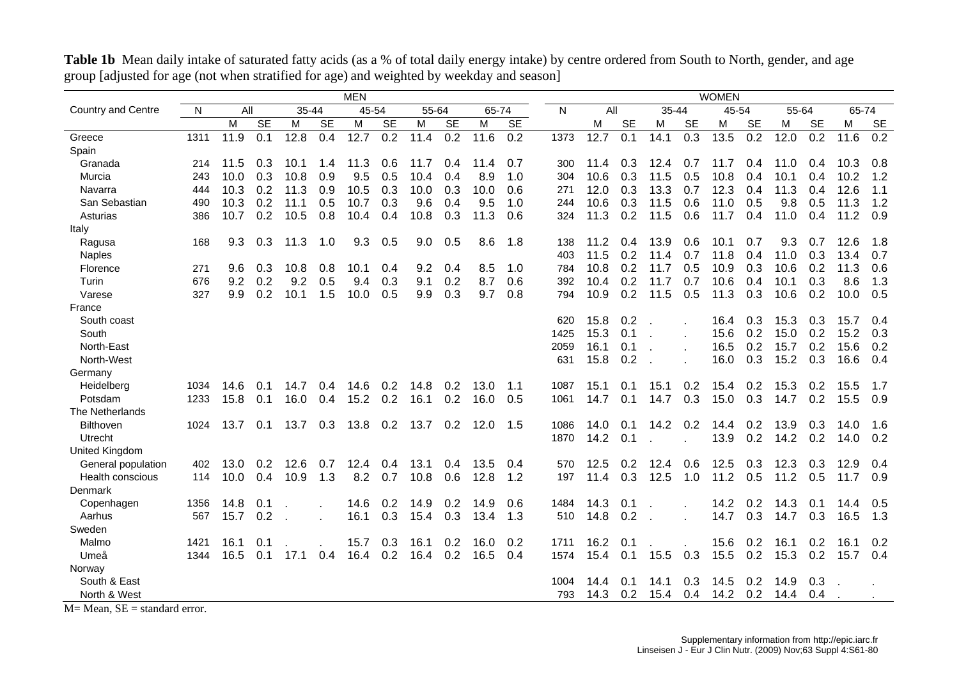|                                                     |      |      |           |       |                  | <b>MEN</b> |           |       |                  |       |                  |      |      |                  |           |                  | <b>WOMEN</b> |           |       |                  |       |                  |
|-----------------------------------------------------|------|------|-----------|-------|------------------|------------|-----------|-------|------------------|-------|------------------|------|------|------------------|-----------|------------------|--------------|-----------|-------|------------------|-------|------------------|
| <b>Country and Centre</b>                           | N    | All  |           | 35-44 |                  | 45-54      |           | 55-64 |                  | 65-74 |                  | N    | All  |                  | $35 - 44$ |                  | 45-54        |           | 55-64 |                  | 65-74 |                  |
|                                                     |      | М    | <b>SE</b> | M     | <b>SE</b>        | м          | <b>SE</b> | M     | <b>SE</b>        | M     | <b>SE</b>        |      | M    | <b>SE</b>        | M         | <b>SE</b>        | М            | <b>SE</b> | M     | <b>SE</b>        | M     | <b>SE</b>        |
| Greece                                              | 1311 | 11.9 | 0.1       | 12.8  | $\overline{0.4}$ | 12.7       | 0.2       | 11.4  | $\overline{0.2}$ | 11.6  | $\overline{0.2}$ | 1373 | 12.7 | $\overline{0.1}$ | 14.1      | $\overline{0.3}$ | 13.5         | 0.2       | 12.0  | $\overline{0.2}$ | 11.6  | $\overline{0.2}$ |
| Spain                                               |      |      |           |       |                  |            |           |       |                  |       |                  |      |      |                  |           |                  |              |           |       |                  |       |                  |
| Granada                                             | 214  | 11.5 | 0.3       | 10.1  | 1.4              | 11.3       | 0.6       | 11.7  | 0.4              | 11.4  | 0.7              | 300  | 11.4 | 0.3              | 12.4      | 0.7              | 11.7         | 0.4       | 11.0  | 0.4              | 10.3  | 0.8              |
| Murcia                                              | 243  | 10.0 | 0.3       | 10.8  | 0.9              | 9.5        | 0.5       | 10.4  | 0.4              | 8.9   | 1.0              | 304  | 10.6 | 0.3              | 11.5      | 0.5              | 10.8         | 0.4       | 10.1  | 0.4              | 10.2  | 1.2              |
| Navarra                                             | 444  | 10.3 | 0.2       | 11.3  | 0.9              | 10.5       | 0.3       | 10.0  | 0.3              | 10.0  | 0.6              | 271  | 12.0 | 0.3              | 13.3      | 0.7              | 12.3         | 0.4       | 11.3  | 0.4              | 12.6  | 1.1              |
| San Sebastian                                       | 490  | 10.3 | 0.2       | 11.1  | 0.5              | 10.7       | 0.3       | 9.6   | 0.4              | 9.5   | 1.0              | 244  | 10.6 | 0.3              | 11.5      | 0.6              | 11.0         | 0.5       | 9.8   | 0.5              | 11.3  | 1.2              |
| Asturias                                            | 386  | 10.7 | 0.2       | 10.5  | 0.8              | 10.4       | 0.4       | 10.8  | 0.3              | 11.3  | 0.6              | 324  | 11.3 | 0.2              | 11.5      | 0.6              | 11.7         | 0.4       | 11.0  | 0.4              | 11.2  | 0.9              |
| Italy                                               |      |      |           |       |                  |            |           |       |                  |       |                  |      |      |                  |           |                  |              |           |       |                  |       |                  |
| Ragusa                                              | 168  | 9.3  | 0.3       | 11.3  | 1.0              | 9.3        | 0.5       | 9.0   | 0.5              | 8.6   | 1.8              | 138  | 11.2 | 0.4              | 13.9      | 0.6              | 10.1         | 0.7       | 9.3   | 0.7              | 12.6  | 1.8              |
| <b>Naples</b>                                       |      |      |           |       |                  |            |           |       |                  |       |                  | 403  | 11.5 | 0.2              | 11.4      | 0.7              | 11.8         | 0.4       | 11.0  | 0.3              | 13.4  | 0.7              |
| Florence                                            | 271  | 9.6  | 0.3       | 10.8  | 0.8              | 10.1       | 0.4       | 9.2   | 0.4              | 8.5   | 1.0              | 784  | 10.8 | 0.2              | 11.7      | 0.5              | 10.9         | 0.3       | 10.6  | 0.2              | 11.3  | 0.6              |
| Turin                                               | 676  | 9.2  | 0.2       | 9.2   | 0.5              | 9.4        | 0.3       | 9.1   | 0.2              | 8.7   | 0.6              | 392  | 10.4 | 0.2              | 11.7      | 0.7              | 10.6         | 0.4       | 10.1  | 0.3              | 8.6   | 1.3              |
| Varese                                              | 327  | 9.9  | 0.2       | 10.1  | 1.5              | 10.0       | 0.5       | 9.9   | 0.3              | 9.7   | 0.8              | 794  | 10.9 | 0.2              | 11.5      | 0.5              | 11.3         | 0.3       | 10.6  | 0.2              | 10.0  | 0.5              |
| France                                              |      |      |           |       |                  |            |           |       |                  |       |                  |      |      |                  |           |                  |              |           |       |                  |       |                  |
| South coast                                         |      |      |           |       |                  |            |           |       |                  |       |                  | 620  | 15.8 | 0.2              |           |                  | 16.4         | 0.3       | 15.3  | 0.3              | 15.7  | 0.4              |
| South                                               |      |      |           |       |                  |            |           |       |                  |       |                  | 1425 | 15.3 | 0.1              |           |                  | 15.6         | 0.2       | 15.0  | 0.2              | 15.2  | 0.3              |
| North-East                                          |      |      |           |       |                  |            |           |       |                  |       |                  | 2059 | 16.1 | 0.1              |           |                  | 16.5         | 0.2       | 15.7  | 0.2              | 15.6  | 0.2              |
| North-West                                          |      |      |           |       |                  |            |           |       |                  |       |                  | 631  | 15.8 | 0.2              |           |                  | 16.0         | 0.3       | 15.2  | 0.3              | 16.6  | 0.4              |
| Germany                                             |      |      |           |       |                  |            |           |       |                  |       |                  |      |      |                  |           |                  |              |           |       |                  |       |                  |
| Heidelberg                                          | 1034 | 14.6 | 0.1       | 14.7  | 0.4              | 14.6       | 0.2       | 14.8  | 0.2              | 13.0  | 1.1              | 1087 | 15.1 | 0.1              | 15.1      | 0.2              | 15.4         | 0.2       | 15.3  | 0.2              | 15.5  | 1.7              |
| Potsdam                                             | 1233 | 15.8 | 0.1       | 16.0  | 0.4              | 15.2       | 0.2       | 16.1  | 0.2              | 16.0  | 0.5              | 1061 | 14.7 | 0.1              | 14.7      | 0.3              | 15.0         | 0.3       | 14.7  | 0.2              | 15.5  | 0.9              |
| The Netherlands                                     |      |      |           |       |                  |            |           |       |                  |       |                  |      |      |                  |           |                  |              |           |       |                  |       |                  |
| <b>Bilthoven</b>                                    | 1024 | 13.7 | 0.1       | 13.7  | 0.3              | 13.8       | 0.2       | 13.7  | 0.2              | 12.0  | 1.5              | 1086 | 14.0 | 0.1              | 14.2      | 0.2              | 14.4         | 0.2       | 13.9  | 0.3              | 14.0  | 1.6              |
| Utrecht                                             |      |      |           |       |                  |            |           |       |                  |       |                  | 1870 | 14.2 | 0.1              |           |                  | 13.9         | 0.2       | 14.2  | 0.2              | 14.0  | 0.2              |
| <b>United Kingdom</b>                               |      |      |           |       |                  |            |           |       |                  |       |                  |      |      |                  |           |                  |              |           |       |                  |       |                  |
| General population                                  | 402  | 13.0 | 0.2       | 12.6  | 0.7              | 12.4       | 0.4       | 13.1  | 0.4              | 13.5  | 0.4              | 570  | 12.5 | 0.2              | 12.4      | 0.6              | 12.5         | 0.3       | 12.3  | 0.3              | 12.9  | 0.4              |
| <b>Health conscious</b>                             | 114  | 10.0 | 0.4       | 10.9  | 1.3              | 8.2        | 0.7       | 10.8  | 0.6              | 12.8  | 1.2              | 197  | 11.4 | 0.3              | 12.5      | 1.0              | 11.2         | 0.5       | 11.2  | 0.5              | 11.7  | 0.9              |
| Denmark                                             |      |      |           |       |                  |            |           |       |                  |       |                  |      |      |                  |           |                  |              |           |       |                  |       |                  |
| Copenhagen                                          | 1356 | 14.8 | 0.1       |       |                  | 14.6       | 0.2       | 14.9  | 0.2              | 14.9  | 0.6              | 1484 | 14.3 | 0.1              |           |                  | 14.2         | 0.2       | 14.3  | 0.1              | 14.4  | 0.5              |
| Aarhus                                              | 567  | 15.7 | 0.2       |       |                  | 16.1       | 0.3       | 15.4  | 0.3              | 13.4  | 1.3              | 510  | 14.8 | 0.2              |           |                  | 14.7         | 0.3       | 14.7  | 0.3              | 16.5  | 1.3              |
| Sweden                                              |      |      |           |       |                  |            |           |       |                  |       |                  |      |      |                  |           |                  |              |           |       |                  |       |                  |
| Malmo                                               | 1421 | 16.1 | 0.1       |       |                  | 15.7       | 0.3       | 16.1  | 0.2              | 16.0  | 0.2              | 1711 | 16.2 | 0.1              |           |                  | 15.6         | 0.2       | 16.1  | 0.2              | 16.1  | 0.2              |
| Umeå                                                | 1344 | 16.5 | 0.1       | 17.1  | 0.4              | 16.4       | 0.2       | 16.4  | 0.2              | 16.5  | 0.4              | 1574 | 15.4 | 0.1              | 15.5      | 0.3              | 15.5         | 0.2       | 15.3  | 0.2              | 15.7  | 0.4              |
| Norway                                              |      |      |           |       |                  |            |           |       |                  |       |                  |      |      |                  |           |                  |              |           |       |                  |       |                  |
| South & East                                        |      |      |           |       |                  |            |           |       |                  |       |                  | 1004 | 14.4 | 0.1              | 14.1      | 0.3              | 14.5         | 0.2       | 14.9  | 0.3              |       |                  |
| North & West                                        |      |      |           |       |                  |            |           |       |                  |       |                  | 793  | 14.3 | 0.2              | 15.4      | 0.4              | 14.2         | 0.2       | 14.4  | 0.4              |       |                  |
| <b>MAGE OF</b><br>$-1.4$ , $-1.4$ , $-1.4$ , $-1.4$ |      |      |           |       |                  |            |           |       |                  |       |                  |      |      |                  |           |                  |              |           |       |                  |       |                  |

Table 1b Mean daily intake of saturated fatty acids (as a % of total daily energy intake) by centre ordered from South to North, gender, and age group [adjusted for age (not when stratified for age) and weighted by weekday and season]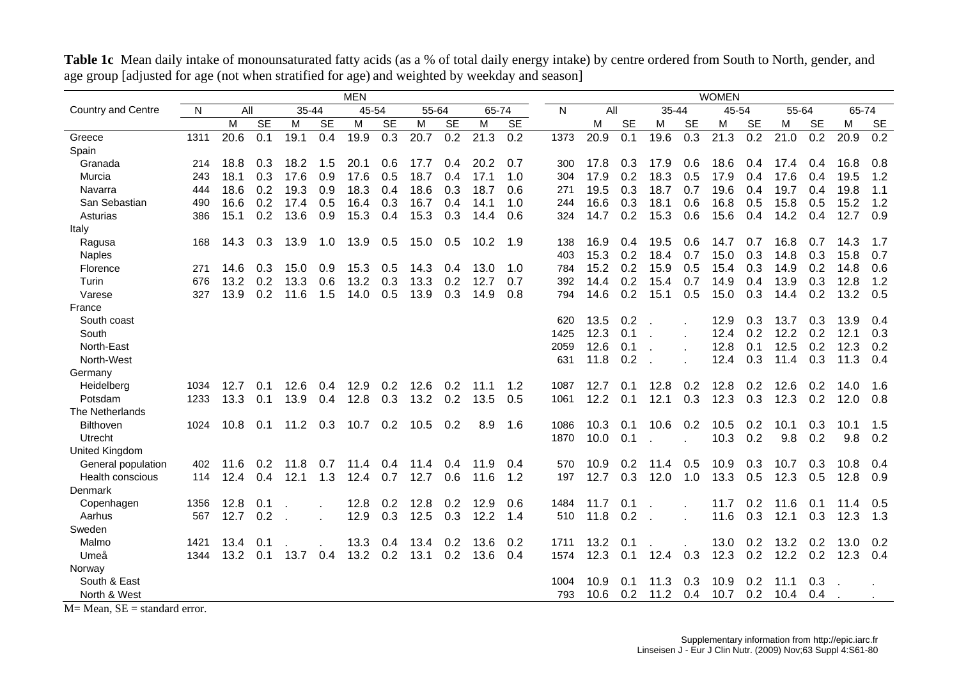|                                                                                                                                 |      |      |                  |       |           | <b>MEN</b> |                  |                   |                  |                   |           |      |                   |                  |       |           | <b>WOMEN</b>      |                  |       |                  |       |           |
|---------------------------------------------------------------------------------------------------------------------------------|------|------|------------------|-------|-----------|------------|------------------|-------------------|------------------|-------------------|-----------|------|-------------------|------------------|-------|-----------|-------------------|------------------|-------|------------------|-------|-----------|
| Country and Centre                                                                                                              | N    | All  |                  | 35-44 |           | 45-54      |                  | 55-64             |                  | 65-74             |           | N    | All               |                  | 35-44 |           | 45-54             |                  | 55-64 |                  | 65-74 |           |
|                                                                                                                                 |      | M    | <b>SE</b>        | М     | <b>SE</b> | М          | <b>SE</b>        | M                 | <b>SE</b>        | M                 | <b>SE</b> |      | Μ                 | <b>SE</b>        | M     | <b>SE</b> | м                 | <b>SE</b>        | м     | <b>SE</b>        | м     | <b>SE</b> |
| Greece                                                                                                                          | 1311 | 20.6 | $\overline{0.1}$ | 19.1  | 0.4       | 19.9       | $\overline{0.3}$ | $\overline{20.7}$ | $\overline{0.2}$ | $\overline{21.3}$ | 0.2       | 1373 | $\overline{20.9}$ | $\overline{0.1}$ | 19.6  | 0.3       | $\overline{21.3}$ | $\overline{0.2}$ | 21.0  | $\overline{0.2}$ | 20.9  | 0.2       |
| Spain                                                                                                                           |      |      |                  |       |           |            |                  |                   |                  |                   |           |      |                   |                  |       |           |                   |                  |       |                  |       |           |
| Granada                                                                                                                         | 214  | 18.8 | 0.3              | 18.2  | 1.5       | 20.1       | 0.6              | 17.7              | 0.4              | 20.2              | 0.7       | 300  | 17.8              | 0.3              | 17.9  | 0.6       | 18.6              | 0.4              | 17.4  | 0.4              | 16.8  | 0.8       |
| Murcia                                                                                                                          | 243  | 18.1 | 0.3              | 17.6  | 0.9       | 17.6       | 0.5              | 18.7              | 0.4              | 17.1              | 1.0       | 304  | 17.9              | 0.2              | 18.3  | 0.5       | 17.9              | 0.4              | 17.6  | 0.4              | 19.5  | 1.2       |
| Navarra                                                                                                                         | 444  | 18.6 | 0.2              | 19.3  | 0.9       | 18.3       | 0.4              | 18.6              | 0.3              | 18.7              | 0.6       | 271  | 19.5              | 0.3              | 18.7  | 0.7       | 19.6              | 0.4              | 19.7  | 0.4              | 19.8  | 1.1       |
| San Sebastian                                                                                                                   | 490  | 16.6 | 0.2              | 17.4  | 0.5       | 16.4       | 0.3              | 16.7              | 0.4              | 14.1              | 1.0       | 244  | 16.6              | 0.3              | 18.1  | 0.6       | 16.8              | 0.5              | 15.8  | 0.5              | 15.2  | 1.2       |
| Asturias                                                                                                                        | 386  | 15.1 | 0.2              | 13.6  | 0.9       | 15.3       | 0.4              | 15.3              | 0.3              | 14.4              | 0.6       | 324  | 14.7              | 0.2              | 15.3  | 0.6       | 15.6              | 0.4              | 14.2  | 0.4              | 12.7  | 0.9       |
| Italy                                                                                                                           |      |      |                  |       |           |            |                  |                   |                  |                   |           |      |                   |                  |       |           |                   |                  |       |                  |       |           |
| Ragusa                                                                                                                          | 168  | 14.3 | 0.3              | 13.9  | 1.0       | 13.9       | 0.5              | 15.0              | 0.5              | 10.2              | 1.9       | 138  | 16.9              | 0.4              | 19.5  | 0.6       | 14.7              | 0.7              | 16.8  | 0.7              | 14.3  | 1.7       |
| <b>Naples</b>                                                                                                                   |      |      |                  |       |           |            |                  |                   |                  |                   |           | 403  | 15.3              | 0.2              | 18.4  | 0.7       | 15.0              | 0.3              | 14.8  | 0.3              | 15.8  | 0.7       |
| Florence                                                                                                                        | 271  | 14.6 | 0.3              | 15.0  | 0.9       | 15.3       | 0.5              | 14.3              | 0.4              | 13.0              | 1.0       | 784  | 15.2              | 0.2              | 15.9  | 0.5       | 15.4              | 0.3              | 14.9  | 0.2              | 14.8  | 0.6       |
| Turin                                                                                                                           | 676  | 13.2 | 0.2              | 13.3  | 0.6       | 13.2       | 0.3              | 13.3              | 0.2              | 12.7              | 0.7       | 392  | 14.4              | 0.2              | 15.4  | 0.7       | 14.9              | 0.4              | 13.9  | 0.3              | 12.8  | 1.2       |
| Varese                                                                                                                          | 327  | 13.9 | 0.2              | 11.6  | 1.5       | 14.0       | 0.5              | 13.9              | 0.3              | 14.9              | 0.8       | 794  | 14.6              | 0.2              | 15.1  | 0.5       | 15.0              | 0.3              | 14.4  | 0.2              | 13.2  | 0.5       |
| France                                                                                                                          |      |      |                  |       |           |            |                  |                   |                  |                   |           |      |                   |                  |       |           |                   |                  |       |                  |       |           |
| South coast                                                                                                                     |      |      |                  |       |           |            |                  |                   |                  |                   |           | 620  | 13.5              | 0.2              |       |           | 12.9              | 0.3              | 13.7  | 0.3              | 13.9  | 0.4       |
| South                                                                                                                           |      |      |                  |       |           |            |                  |                   |                  |                   |           | 1425 | 12.3              | 0.1              |       |           | 12.4              | 0.2              | 12.2  | 0.2              | 12.1  | 0.3       |
| North-East                                                                                                                      |      |      |                  |       |           |            |                  |                   |                  |                   |           | 2059 | 12.6              | 0.1              |       |           | 12.8              | 0.1              | 12.5  | 0.2              | 12.3  | 0.2       |
| North-West                                                                                                                      |      |      |                  |       |           |            |                  |                   |                  |                   |           | 631  | 11.8              | 0.2              |       |           | 12.4              | 0.3              | 11.4  | 0.3              | 11.3  | 0.4       |
| Germany                                                                                                                         |      |      |                  |       |           |            |                  |                   |                  |                   |           |      |                   |                  |       |           |                   |                  |       |                  |       |           |
| Heidelberg                                                                                                                      | 1034 | 12.7 | 0.1              | 12.6  | 0.4       | 12.9       | 0.2              | 12.6              | 0.2              | 11.1              | 1.2       | 1087 | 12.7              | 0.1              | 12.8  | 0.2       | 12.8              | 0.2              | 12.6  | 0.2              | 14.0  | 1.6       |
| Potsdam                                                                                                                         | 1233 | 13.3 | 0.1              | 13.9  | 0.4       | 12.8       | 0.3              | 13.2              | 0.2              | 13.5              | 0.5       | 1061 | 12.2              | 0.1              | 12.1  | 0.3       | 12.3              | 0.3              | 12.3  | 0.2              | 12.0  | 0.8       |
| The Netherlands                                                                                                                 |      |      |                  |       |           |            |                  |                   |                  |                   |           |      |                   |                  |       |           |                   |                  |       |                  |       |           |
| <b>Bilthoven</b>                                                                                                                | 1024 | 10.8 | 0.1              | 11.2  | 0.3       | 10.7       | 0.2              | 10.5              | 0.2              | 8.9               | 1.6       | 1086 | 10.3              | 0.1              | 10.6  | 0.2       | 10.5              | 0.2              | 10.1  | 0.3              | 10.1  | 1.5       |
| Utrecht                                                                                                                         |      |      |                  |       |           |            |                  |                   |                  |                   |           | 1870 | 10.0              | 0.1              |       |           | 10.3              | 0.2              | 9.8   | 0.2              | 9.8   | 0.2       |
| <b>United Kingdom</b>                                                                                                           |      |      |                  |       |           |            |                  |                   |                  |                   |           |      |                   |                  |       |           |                   |                  |       |                  |       |           |
| General population                                                                                                              | 402  | 11.6 | 0.2              | 11.8  | 0.7       | 11.4       | 0.4              | 11.4              | 0.4              | 11.9              | 0.4       | 570  | 10.9              | 0.2              | 11.4  | 0.5       | 10.9              | 0.3              | 10.7  | 0.3              | 10.8  | 0.4       |
| Health conscious                                                                                                                | 114  | 12.4 | 0.4              | 12.1  | 1.3       | 12.4       | 0.7              | 12.7              | 0.6              | 11.6              | 1.2       | 197  | 12.7              | 0.3              | 12.0  | 1.0       | 13.3              | 0.5              | 12.3  | 0.5              | 12.8  | 0.9       |
| Denmark                                                                                                                         |      |      |                  |       |           |            |                  |                   |                  |                   |           |      |                   |                  |       |           |                   |                  |       |                  |       |           |
| Copenhagen                                                                                                                      | 1356 | 12.8 | 0.1              |       |           | 12.8       | 0.2              | 12.8              | 0.2              | 12.9              | 0.6       | 1484 | 11.7              | 0.1              |       |           | 11.7              | 0.2              | 11.6  | 0.1              | 11.4  | 0.5       |
| Aarhus                                                                                                                          | 567  | 12.7 | 0.2              |       | $\sim$    | 12.9       | 0.3              | 12.5              | 0.3              | 12.2              | 1.4       | 510  | 11.8              | 0.2              |       |           | 11.6              | 0.3              | 12.1  | 0.3              | 12.3  | 1.3       |
| Sweden                                                                                                                          |      |      |                  |       |           |            |                  |                   |                  |                   |           |      |                   |                  |       |           |                   |                  |       |                  |       |           |
| Malmo                                                                                                                           | 1421 | 13.4 | 0.1              |       |           | 13.3       | 0.4              | 13.4              | 0.2              | 13.6              | 0.2       | 1711 | 13.2              | 0.1              |       |           | 13.0              | 0.2              | 13.2  | 0.2              | 13.0  | 0.2       |
| Umeå                                                                                                                            | 1344 | 13.2 | 0.1              | 13.7  | 0.4       | 13.2       | 0.2              | 13.1              | 0.2              | 13.6              | 0.4       | 1574 | 12.3              | 0.1              | 12.4  | 0.3       | 12.3              | 0.2              | 12.2  | 0.2              | 12.3  | 0.4       |
| Norway                                                                                                                          |      |      |                  |       |           |            |                  |                   |                  |                   |           |      |                   |                  |       |           |                   |                  |       |                  |       |           |
| South & East                                                                                                                    |      |      |                  |       |           |            |                  |                   |                  |                   |           | 1004 | 10.9              | 0.1              | 11.3  | 0.3       | 10.9              | 0.2              | 11.1  | 0.3              |       |           |
| North & West                                                                                                                    |      |      |                  |       |           |            |                  |                   |                  |                   |           | 793  | 10.6              | 0.2              | 11.2  | 0.4       | 10.7              | 0.2              | 10.4  | 0.4              |       |           |
| <b>MAGE OF</b><br>and a state of the state of the state of the state of the state of the state of the state of the state of the |      |      |                  |       |           |            |                  |                   |                  |                   |           |      |                   |                  |       |           |                   |                  |       |                  |       |           |

**Table 1c** Mean daily intake of monounsaturated fatty acids (as a % of total daily energy intake) by centre ordered from South to North, gender, and age group [adjusted for age (not when stratified for age) and weighted by weekday and season]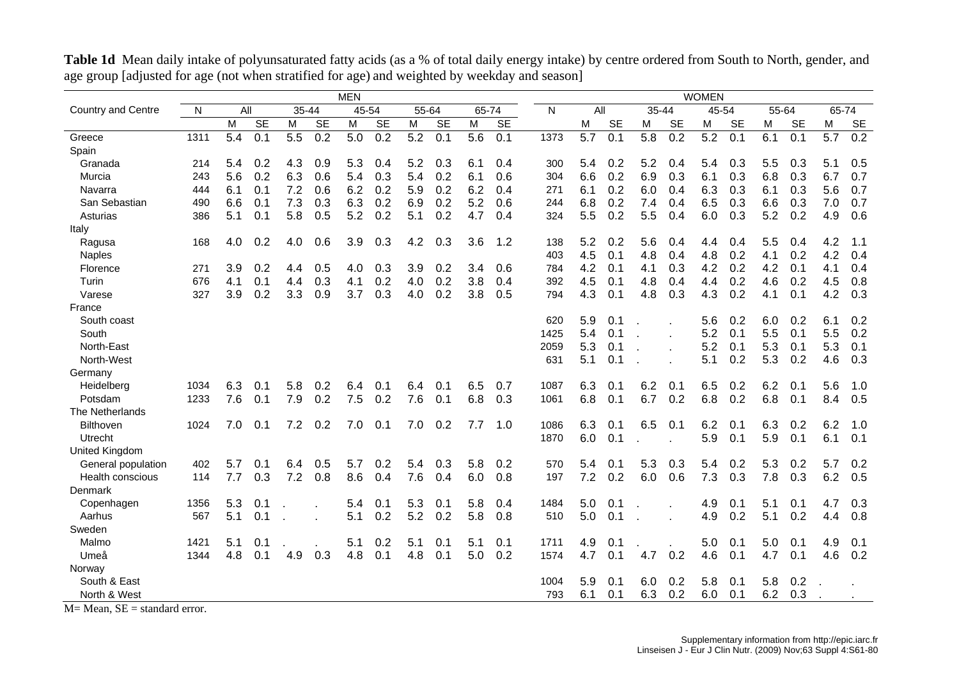| <b>MEN</b><br><b>WOMEN</b>                                                                                                                                                                                                                                   |                                      |
|--------------------------------------------------------------------------------------------------------------------------------------------------------------------------------------------------------------------------------------------------------------|--------------------------------------|
| All<br>65-74<br>All<br>45-54<br>55-64<br>Country and Centre<br>N<br>35-44<br>45-54<br>55-64<br>N<br>35-44                                                                                                                                                    | 65-74                                |
| <b>SE</b><br><b>SE</b><br><b>SE</b><br>M<br><b>SE</b><br><b>SE</b><br>${\sf M}$<br><b>SE</b><br>M<br>M<br>M<br>M<br><b>SE</b><br>М<br><b>SE</b><br><b>SE</b><br>Μ<br>M                                                                                       | <b>SE</b><br>M                       |
| $\overline{0.2}$<br>5.0<br>$\overline{0.2}$<br>$\overline{5.2}$<br>$\overline{0.1}$<br>$\overline{0.1}$<br>$\overline{0.1}$<br>5.8<br>$\overline{0.2}$<br>$\overline{5.2}$<br>5.4<br>0.1<br>5.5<br>5.6<br>5.7<br>0.1<br>6.1<br>0.1<br>1311<br>1373<br>Greece | $\overline{5.7}$<br>$\overline{0.2}$ |
| Spain                                                                                                                                                                                                                                                        |                                      |
| 5.2<br>214<br>5.4<br>0.2<br>4.3<br>0.9<br>5.3<br>0.4<br>5.2<br>0.3<br>6.1<br>0.4<br>5.4<br>0.2<br>0.4<br>5.4<br>0.3<br>5.5<br>0.3<br>Granada<br>300                                                                                                          | 5.1<br>0.5                           |
| 5.6<br>0.2<br>6.3<br>0.3<br>5.4<br>6.1<br>6.6<br>6.9<br>0.3<br>6.1<br>0.3<br>6.8<br>243<br>0.6<br>5.4<br>0.2<br>0.6<br>0.2<br>0.3<br>Murcia<br>304                                                                                                           | 6.7<br>0.7                           |
| 7.2<br>6.2<br>0.2<br>5.9<br>6.2<br>6.0<br>0.4<br>6.3<br>0.3<br>444<br>6.1<br>0.1<br>0.6<br>0.2<br>0.4<br>271<br>6.1<br>0.2<br>6.1<br>0.3<br>Navarra                                                                                                          | 0.7<br>5.6                           |
| 7.3<br>6.3<br>0.2<br>San Sebastian<br>6.6<br>0.1<br>0.3<br>6.9<br>0.2<br>5.2<br>0.6<br>6.8<br>0.2<br>7.4<br>0.4<br>6.5<br>0.3<br>6.6<br>490<br>244<br>0.3                                                                                                    | 7.0<br>0.7                           |
| 5.2<br>0.2<br>5.5<br>0.4<br>6.0<br>5.2<br>386<br>5.1<br>0.1<br>5.8<br>0.5<br>5.1<br>0.2<br>4.7<br>0.4<br>324<br>5.5<br>0.2<br>0.3<br>0.2<br>Asturias                                                                                                         | 0.6<br>4.9                           |
| Italy                                                                                                                                                                                                                                                        |                                      |
| 0.2<br>3.9<br>0.3<br>4.2<br>0.3<br>3.6<br>1.2<br>5.2<br>0.2<br>5.6<br>5.5<br>168<br>4.0<br>4.0<br>0.6<br>138<br>0.4<br>4.4<br>0.4<br>0.4<br>Ragusa                                                                                                           | 4.2<br>1.1                           |
| 4.5<br>4.8<br>0.4<br>4.8<br>0.2<br>403<br>0.1<br>0.2<br><b>Naples</b><br>4.1                                                                                                                                                                                 | 4.2<br>0.4                           |
| 4.2<br>0.2<br>4.2<br>4.1<br>0.3<br>4.2<br>271<br>3.9<br>0.2<br>0.5<br>4.0<br>0.3<br>3.9<br>0.2<br>3.4<br>0.6<br>784<br>0.1<br>0.1<br>Florence<br>4.4                                                                                                         | 0.4<br>4.1                           |
| 0.2<br>0.3<br>0.2<br>0.2<br>3.8<br>0.4<br>4.5<br>4.6<br>676<br>4.1<br>0.1<br>4.1<br>4.0<br>0.1<br>4.8<br>0.4<br>4.4<br>0.2<br>Turin<br>4.4<br>392                                                                                                            | 4.5<br>0.8                           |
| 3.3<br>4.3<br>4.3<br>0.2<br>3.9<br>0.2<br>0.9<br>3.7<br>0.3<br>0.2<br>3.8<br>0.5<br>0.1<br>4.8<br>0.3<br>327<br>4.0<br>794<br>4.1<br>0.1<br>Varese                                                                                                           | 4.2<br>0.3                           |
| France                                                                                                                                                                                                                                                       |                                      |
| 5.9<br>0.1<br>5.6<br>0.2<br>0.2<br>South coast<br>620<br>6.0                                                                                                                                                                                                 | 6.1<br>0.2                           |
| 5.4<br>0.1<br>5.2<br>5.5<br>South<br>1425<br>0.1<br>0.1                                                                                                                                                                                                      | 0.2<br>5.5                           |
| 5.3<br>5.2<br>5.3<br>0.1<br>North-East<br>2059<br>0.1<br>0.1                                                                                                                                                                                                 | 5.3<br>0.1                           |
| North-West<br>631<br>5.1<br>0.1<br>5.1<br>0.2<br>5.3<br>0.2                                                                                                                                                                                                  | 4.6<br>0.3                           |
| Germany                                                                                                                                                                                                                                                      |                                      |
| 6.3<br>0.2<br>6.2<br>1034<br>6.3<br>0.2<br>0.1<br>6.5<br>0.7<br>0.1<br>6.2<br>0.1<br>6.5<br>0.1<br>Heidelberg<br>0.1<br>5.8<br>6.4<br>0.1<br>6.4<br>1087                                                                                                     | 5.6<br>1.0                           |
| 7.6<br>0.2<br>7.5<br>6.8<br>6.7<br>0.2<br>6.8<br>0.2<br>6.8<br>1233<br>0.1<br>7.9<br>0.2<br>7.6<br>0.1<br>0.3<br>6.8<br>0.1<br>Potsdam<br>1061<br>0.1                                                                                                        | 8.4<br>0.5                           |
| The Netherlands                                                                                                                                                                                                                                              |                                      |
| 7.0<br>0.2<br>1024<br>0.1<br>7.2<br>7.0<br>0.1<br>7.0<br>0.2<br>7.7<br>1.0<br>1086<br>6.3<br>0.1<br>6.5<br>0.1<br>6.2<br>0.1<br>6.3<br>0.2<br><b>Bilthoven</b>                                                                                               | 6.2<br>1.0                           |
| 0.1<br>5.9<br>1870<br>6.0<br>0.1<br>5.9<br>0.1<br>Utrecht                                                                                                                                                                                                    | 6.1<br>0.1                           |
| United Kingdom                                                                                                                                                                                                                                               |                                      |
| 5.8<br>0.2<br>5.4<br>0.3<br>5.4<br>0.2<br>5.3<br>0.2<br>General population<br>5.7<br>0.1<br>6.4<br>0.5<br>0.2<br>5.4<br>0.3<br>0.1<br>5.3<br>402<br>5.7<br>570                                                                                               | 5.7<br>0.2                           |
| 7.2<br>7.7<br>0.3<br>7.2<br>8.6<br>7.6<br>0.8<br>0.2<br>6.0<br>0.6<br>7.3<br>0.3<br>7.8<br>0.8<br>0.4<br>0.4<br>6.0<br>0.3<br>Health conscious<br>114<br>197                                                                                                 | 6.2<br>0.5                           |
| Denmark                                                                                                                                                                                                                                                      |                                      |
| 5.8<br>4.9<br>1356<br>5.3<br>0.1<br>5.4<br>0.1<br>5.3<br>0.1<br>0.4<br>1484<br>5.0<br>0.1<br>0.1<br>5.1<br>0.1<br>Copenhagen                                                                                                                                 | 4.7<br>0.3                           |
| 4.9<br>0.2<br>5.1<br>0.1<br>5.1<br>0.2<br>5.2<br>5.8<br>0.8<br>5.0<br>0.1<br>Aarhus<br>567<br>0.2<br>510<br>5.1<br>0.2                                                                                                                                       | 0.8<br>4.4                           |
| Sweden                                                                                                                                                                                                                                                       |                                      |
| 5.0<br>5.0<br>Malmo<br>1421<br>5.1<br>0.1<br>5.1<br>0.2<br>5.1<br>0.1<br>5.1<br>0.1<br>1711<br>4.9<br>0.1<br>0.1<br>0.1                                                                                                                                      | 4.9<br>0.1                           |
| 0.2<br>4.8<br>0.1<br>0.3<br>4.8<br>0.1<br>4.8<br>0.1<br>5.0<br>0.2<br>1574<br>4.7<br>0.1<br>4.7<br>4.6<br>4.7<br>1344<br>4.9<br>0.1<br>0.1<br>Umeå                                                                                                           | 0.2<br>4.6                           |
| Norway                                                                                                                                                                                                                                                       |                                      |
| 5.8<br>5.8<br>0.2<br>South & East<br>1004<br>5.9<br>0.1<br>0.2<br>0.1<br>6.0                                                                                                                                                                                 |                                      |
| 0.2<br>6.0<br>6.2<br>0.3<br>6.1<br>0.1<br>6.3<br>North & West<br>793<br>0.1                                                                                                                                                                                  |                                      |

**Table 1d** Mean daily intake of polyunsaturated fatty acids (as a % of total daily energy intake) by centre ordered from South to North, gender, and age group [adjusted for age (not when stratified for age) and weighted by weekday and season]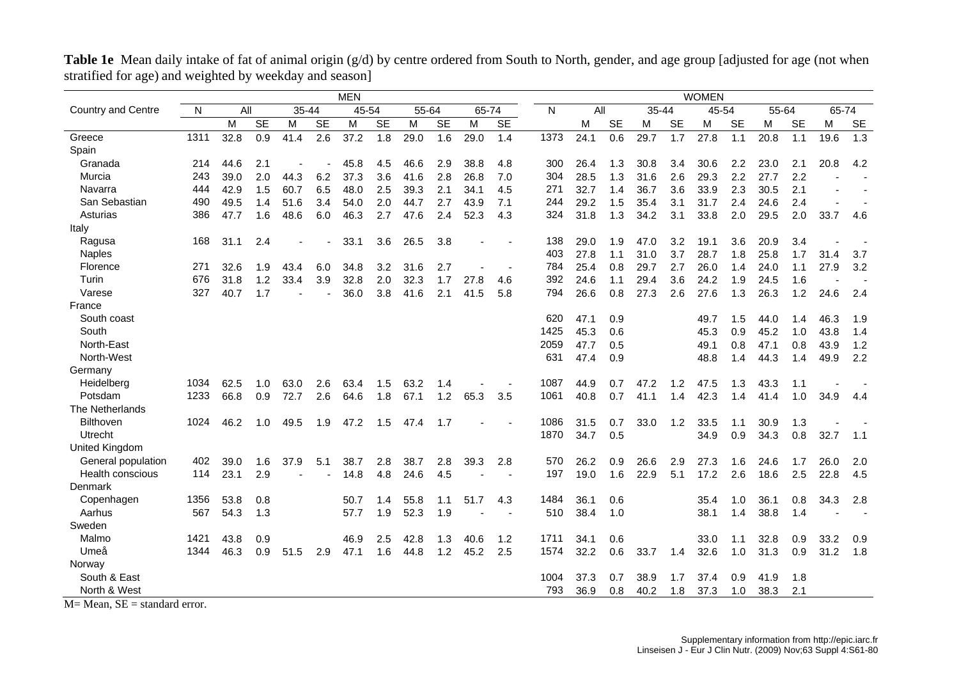|                                    |      |      |           |       |           | <b>MEN</b> |           |       |           |       |           |      |      |           |       |           | <b>WOMEN</b> |           |       |           |       |           |
|------------------------------------|------|------|-----------|-------|-----------|------------|-----------|-------|-----------|-------|-----------|------|------|-----------|-------|-----------|--------------|-----------|-------|-----------|-------|-----------|
| Country and Centre                 | N    | All  |           | 35-44 |           | 45-54      |           | 55-64 |           | 65-74 |           | N    | All  |           | 35-44 |           | 45-54        |           | 55-64 |           | 65-74 |           |
|                                    |      | M    | <b>SE</b> | M     | <b>SE</b> | M          | <b>SE</b> | M     | <b>SE</b> | M     | <b>SE</b> |      | М    | <b>SE</b> | м     | <b>SE</b> | м            | <b>SE</b> | M     | <b>SE</b> | Μ     | <b>SE</b> |
| Greece                             | 1311 | 32.8 | 0.9       | 41.4  | 2.6       | 37.2       | 1.8       | 29.0  | 1.6       | 29.0  | 1.4       | 1373 | 24.1 | 0.6       | 29.7  | 1.7       | 27.8         | 1.1       | 20.8  | 1.1       | 19.6  | 1.3       |
| Spain                              |      |      |           |       |           |            |           |       |           |       |           |      |      |           |       |           |              |           |       |           |       |           |
| Granada                            | 214  | 44.6 | 2.1       |       |           | 45.8       | 4.5       | 46.6  | 2.9       | 38.8  | 4.8       | 300  | 26.4 | 1.3       | 30.8  | 3.4       | 30.6         | 2.2       | 23.0  | 2.1       | 20.8  | 4.2       |
| Murcia                             | 243  | 39.0 | 2.0       | 44.3  | 6.2       | 37.3       | 3.6       | 41.6  | 2.8       | 26.8  | 7.0       | 304  | 28.5 | 1.3       | 31.6  | 2.6       | 29.3         | 2.2       | 27.7  | 2.2       |       |           |
| Navarra                            | 444  | 42.9 | 1.5       | 60.7  | 6.5       | 48.0       | 2.5       | 39.3  | 2.1       | 34.1  | 4.5       | 271  | 32.7 | 1.4       | 36.7  | 3.6       | 33.9         | 2.3       | 30.5  | 2.1       |       |           |
| San Sebastian                      | 490  | 49.5 | 1.4       | 51.6  | 3.4       | 54.0       | 2.0       | 44.7  | 2.7       | 43.9  | 7.1       | 244  | 29.2 | 1.5       | 35.4  | 3.1       | 31.7         | 2.4       | 24.6  | 2.4       |       |           |
| Asturias                           | 386  | 47.7 | 1.6       | 48.6  | 6.0       | 46.3       | 2.7       | 47.6  | 2.4       | 52.3  | 4.3       | 324  | 31.8 | 1.3       | 34.2  | 3.1       | 33.8         | 2.0       | 29.5  | 2.0       | 33.7  | 4.6       |
| Italy                              |      |      |           |       |           |            |           |       |           |       |           |      |      |           |       |           |              |           |       |           |       |           |
| Ragusa                             | 168  | 31.1 | 2.4       |       |           | 33.1       | 3.6       | 26.5  | 3.8       |       |           | 138  | 29.0 | 1.9       | 47.0  | 3.2       | 19.1         | 3.6       | 20.9  | 3.4       |       |           |
| <b>Naples</b>                      |      |      |           |       |           |            |           |       |           |       |           | 403  | 27.8 | 1.1       | 31.0  | 3.7       | 28.7         | 1.8       | 25.8  | 1.7       | 31.4  | 3.7       |
| Florence                           | 271  | 32.6 | 1.9       | 43.4  | 6.0       | 34.8       | 3.2       | 31.6  | 2.7       |       |           | 784  | 25.4 | 0.8       | 29.7  | 2.7       | 26.0         | 1.4       | 24.0  | 1.1       | 27.9  | 3.2       |
| Turin                              | 676  | 31.8 | 1.2       | 33.4  | 3.9       | 32.8       | 2.0       | 32.3  | 1.7       | 27.8  | 4.6       | 392  | 24.6 | 1.1       | 29.4  | 3.6       | 24.2         | 1.9       | 24.5  | 1.6       |       |           |
| Varese                             | 327  | 40.7 | 1.7       |       |           | 36.0       | 3.8       | 41.6  | 2.1       | 41.5  | 5.8       | 794  | 26.6 | 0.8       | 27.3  | 2.6       | 27.6         | 1.3       | 26.3  | 1.2       | 24.6  | 2.4       |
| France                             |      |      |           |       |           |            |           |       |           |       |           |      |      |           |       |           |              |           |       |           |       |           |
| South coast                        |      |      |           |       |           |            |           |       |           |       |           | 620  | 47.1 | 0.9       |       |           | 49.7         | 1.5       | 44.0  | 1.4       | 46.3  | 1.9       |
| South                              |      |      |           |       |           |            |           |       |           |       |           | 1425 | 45.3 | 0.6       |       |           | 45.3         | 0.9       | 45.2  | 1.0       | 43.8  | 1.4       |
| North-East                         |      |      |           |       |           |            |           |       |           |       |           | 2059 | 47.7 | 0.5       |       |           | 49.1         | 0.8       | 47.1  | 0.8       | 43.9  | 1.2       |
| North-West                         |      |      |           |       |           |            |           |       |           |       |           | 631  | 47.4 | 0.9       |       |           | 48.8         | 1.4       | 44.3  | 1.4       | 49.9  | 2.2       |
| Germany                            |      |      |           |       |           |            |           |       |           |       |           |      |      |           |       |           |              |           |       |           |       |           |
| Heidelberg                         | 1034 | 62.5 | 1.0       | 63.0  | 2.6       | 63.4       | 1.5       | 63.2  | 1.4       |       |           | 1087 | 44.9 | 0.7       | 47.2  | 1.2       | 47.5         | 1.3       | 43.3  | 1.1       |       |           |
| Potsdam                            | 1233 | 66.8 | 0.9       | 72.7  | 2.6       | 64.6       | 1.8       | 67.1  | 1.2       | 65.3  | 3.5       | 1061 | 40.8 | 0.7       | 41.1  | 1.4       | 42.3         | 1.4       | 41.4  | 1.0       | 34.9  | 4.4       |
| The Netherlands                    |      |      |           |       |           |            |           |       |           |       |           |      |      |           |       |           |              |           |       |           |       |           |
| Bilthoven                          | 1024 | 46.2 | 1.0       | 49.5  | 1.9       | 47.2       | 1.5       | 47.4  | 1.7       |       |           | 1086 | 31.5 | 0.7       | 33.0  | 1.2       | 33.5         | 1.1       | 30.9  | 1.3       |       |           |
| Utrecht                            |      |      |           |       |           |            |           |       |           |       |           | 1870 | 34.7 | 0.5       |       |           | 34.9         | 0.9       | 34.3  | 0.8       | 32.7  | 1.1       |
| United Kingdom                     |      |      |           |       |           |            |           |       |           |       |           |      |      |           |       |           |              |           |       |           |       |           |
| General population                 | 402  | 39.0 | 1.6       | 37.9  | 5.1       | 38.7       | 2.8       | 38.7  | 2.8       | 39.3  | 2.8       | 570  | 26.2 | 0.9       | 26.6  | 2.9       | 27.3         | 1.6       | 24.6  | 1.7       | 26.0  | 2.0       |
| Health conscious                   | 114  | 23.1 | 2.9       |       |           | 14.8       | 4.8       | 24.6  | 4.5       |       |           | 197  | 19.0 | 1.6       | 22.9  | 5.1       | 17.2         | 2.6       | 18.6  | 2.5       | 22.8  | 4.5       |
| Denmark                            |      |      |           |       |           |            |           |       |           |       |           |      |      |           |       |           |              |           |       |           |       |           |
| Copenhagen                         | 1356 | 53.8 | 0.8       |       |           | 50.7       | 1.4       | 55.8  | 1.1       | 51.7  | 4.3       | 1484 | 36.1 | 0.6       |       |           | 35.4         | 1.0       | 36.1  | 0.8       | 34.3  | 2.8       |
| Aarhus                             | 567  | 54.3 | 1.3       |       |           | 57.7       | 1.9       | 52.3  | 1.9       |       |           | 510  | 38.4 | 1.0       |       |           | 38.1         | 1.4       | 38.8  | 1.4       |       |           |
| Sweden                             |      |      |           |       |           |            |           |       |           |       |           |      |      |           |       |           |              |           |       |           |       |           |
| Malmo                              | 1421 | 43.8 | 0.9       |       |           | 46.9       | 2.5       | 42.8  | 1.3       | 40.6  | 1.2       | 1711 | 34.1 | 0.6       |       |           | 33.0         | 1.1       | 32.8  | 0.9       | 33.2  | 0.9       |
| Umeå                               | 1344 | 46.3 | 0.9       | 51.5  | 2.9       | 47.1       | 1.6       | 44.8  | 1.2       | 45.2  | 2.5       | 1574 | 32.2 | 0.6       | 33.7  | 1.4       | 32.6         | 1.0       | 31.3  | 0.9       | 31.2  | 1.8       |
| Norway                             |      |      |           |       |           |            |           |       |           |       |           |      |      |           |       |           |              |           |       |           |       |           |
| South & East                       |      |      |           |       |           |            |           |       |           |       |           | 1004 | 37.3 | 0.7       | 38.9  | 1.7       | 37.4         | 0.9       | 41.9  | 1.8       |       |           |
| North & West                       |      |      |           |       |           |            |           |       |           |       |           | 793  | 36.9 | 0.8       | 40.2  | 1.8       | 37.3         | 1.0       | 38.3  | 2.1       |       |           |
| $M=Mean$ , $SE = standard error$ . |      |      |           |       |           |            |           |       |           |       |           |      |      |           |       |           |              |           |       |           |       |           |

**Table 1e** Mean daily intake of fat of animal origin (g/d) by centre ordered from South to North, gender, and age group [adjusted for age (not when stratified for age) and weighted by weekday and season]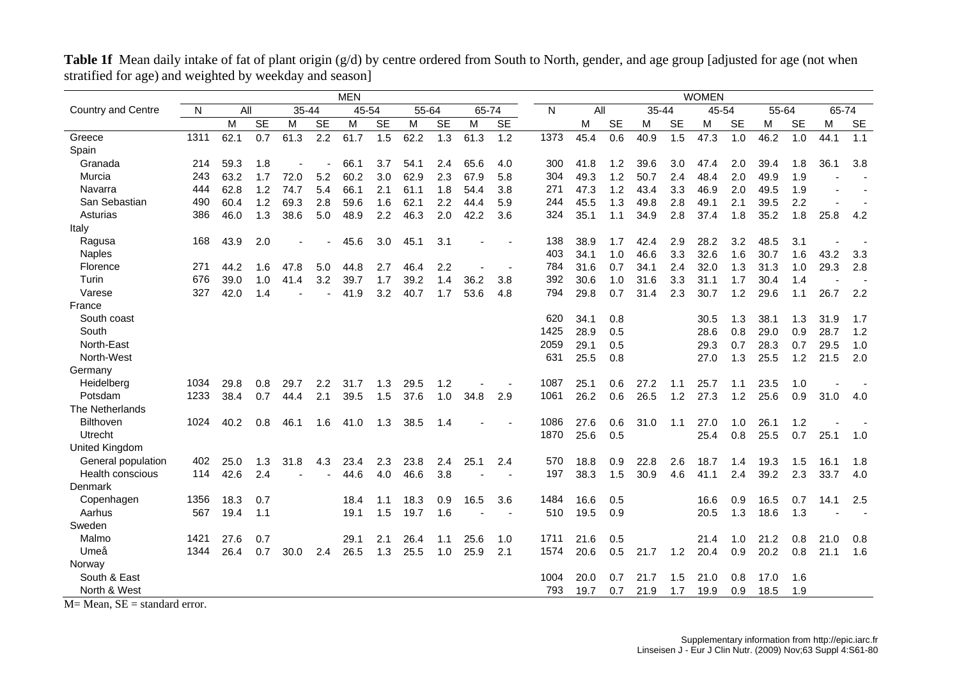|                                    | <b>MEN</b><br>All<br>35-44<br>45-54<br>55-64 |      |           |      |           |      |           |      |           |       |           |      |      |           |       |           | <b>WOMEN</b> |           |       |           |       |           |
|------------------------------------|----------------------------------------------|------|-----------|------|-----------|------|-----------|------|-----------|-------|-----------|------|------|-----------|-------|-----------|--------------|-----------|-------|-----------|-------|-----------|
| Country and Centre                 | N                                            |      |           |      |           |      |           |      |           | 65-74 |           | N    | All  |           | 35-44 |           | 45-54        |           | 55-64 |           | 65-74 |           |
|                                    |                                              | M    | <b>SE</b> | M    | <b>SE</b> | M    | <b>SE</b> | M    | <b>SE</b> | M     | <b>SE</b> |      | М    | <b>SE</b> | м     | <b>SE</b> | м            | <b>SE</b> | M     | <b>SE</b> | м     | <b>SE</b> |
| Greece                             | 1311                                         | 62.1 | 0.7       | 61.3 | 2.2       | 61.7 | 1.5       | 62.2 | 1.3       | 61.3  | 1.2       | 1373 | 45.4 | 0.6       | 40.9  | 1.5       | 47.3         | 1.0       | 46.2  | 1.0       | 44.1  | 1.1       |
| Spain                              |                                              |      |           |      |           |      |           |      |           |       |           |      |      |           |       |           |              |           |       |           |       |           |
| Granada                            | 214                                          | 59.3 | 1.8       |      |           | 66.1 | 3.7       | 54.1 | 2.4       | 65.6  | 4.0       | 300  | 41.8 | 1.2       | 39.6  | 3.0       | 47.4         | 2.0       | 39.4  | 1.8       | 36.1  | 3.8       |
| Murcia                             | 243                                          | 63.2 | 1.7       | 72.0 | 5.2       | 60.2 | 3.0       | 62.9 | 2.3       | 67.9  | 5.8       | 304  | 49.3 | 1.2       | 50.7  | 2.4       | 48.4         | 2.0       | 49.9  | 1.9       |       |           |
| Navarra                            | 444                                          | 62.8 | 1.2       | 74.7 | 5.4       | 66.1 | 2.1       | 61.1 | 1.8       | 54.4  | 3.8       | 271  | 47.3 | 1.2       | 43.4  | 3.3       | 46.9         | 2.0       | 49.5  | 1.9       |       |           |
| San Sebastian                      | 490                                          | 60.4 | 1.2       | 69.3 | 2.8       | 59.6 | 1.6       | 62.1 | 2.2       | 44.4  | 5.9       | 244  | 45.5 | 1.3       | 49.8  | 2.8       | 49.1         | 2.1       | 39.5  | 2.2       |       |           |
| Asturias                           | 386                                          | 46.0 | 1.3       | 38.6 | 5.0       | 48.9 | 2.2       | 46.3 | 2.0       | 42.2  | 3.6       | 324  | 35.1 | 1.1       | 34.9  | 2.8       | 37.4         | 1.8       | 35.2  | 1.8       | 25.8  | 4.2       |
| Italy                              |                                              |      |           |      |           |      |           |      |           |       |           |      |      |           |       |           |              |           |       |           |       |           |
| Ragusa                             | 168                                          | 43.9 | 2.0       |      |           | 45.6 | 3.0       | 45.1 | 3.1       |       |           | 138  | 38.9 | 1.7       | 42.4  | 2.9       | 28.2         | 3.2       | 48.5  | 3.1       |       |           |
| <b>Naples</b>                      |                                              |      |           |      |           |      |           |      |           |       |           | 403  | 34.1 | 1.0       | 46.6  | 3.3       | 32.6         | 1.6       | 30.7  | 1.6       | 43.2  | 3.3       |
| Florence                           | 271                                          | 44.2 | 1.6       | 47.8 | 5.0       | 44.8 | 2.7       | 46.4 | 2.2       |       |           | 784  | 31.6 | 0.7       | 34.1  | 2.4       | 32.0         | 1.3       | 31.3  | 1.0       | 29.3  | 2.8       |
| Turin                              | 676                                          | 39.0 | 1.0       | 41.4 | 3.2       | 39.7 | 1.7       | 39.2 | 1.4       | 36.2  | 3.8       | 392  | 30.6 | 1.0       | 31.6  | 3.3       | 31.1         | 1.7       | 30.4  | 1.4       |       |           |
| Varese                             | 327                                          | 42.0 | 1.4       |      |           | 41.9 | 3.2       | 40.7 | 1.7       | 53.6  | 4.8       | 794  | 29.8 | 0.7       | 31.4  | 2.3       | 30.7         | 1.2       | 29.6  | 1.1       | 26.7  | 2.2       |
| France                             |                                              |      |           |      |           |      |           |      |           |       |           |      |      |           |       |           |              |           |       |           |       |           |
| South coast                        |                                              |      |           |      |           |      |           |      |           |       |           | 620  | 34.1 | 0.8       |       |           | 30.5         | 1.3       | 38.1  | 1.3       | 31.9  | 1.7       |
| South                              |                                              |      |           |      |           |      |           |      |           |       |           | 1425 | 28.9 | 0.5       |       |           | 28.6         | 0.8       | 29.0  | 0.9       | 28.7  | 1.2       |
| North-East                         |                                              |      |           |      |           |      |           |      |           |       |           | 2059 | 29.1 | 0.5       |       |           | 29.3         | 0.7       | 28.3  | 0.7       | 29.5  | 1.0       |
| North-West                         |                                              |      |           |      |           |      |           |      |           |       |           | 631  | 25.5 | 0.8       |       |           | 27.0         | 1.3       | 25.5  | 1.2       | 21.5  | 2.0       |
| Germany                            |                                              |      |           |      |           |      |           |      |           |       |           |      |      |           |       |           |              |           |       |           |       |           |
| Heidelberg                         | 1034                                         | 29.8 | 0.8       | 29.7 | 2.2       | 31.7 | 1.3       | 29.5 | 1.2       |       |           | 1087 | 25.1 | 0.6       | 27.2  | 1.1       | 25.7         | 1.1       | 23.5  | 1.0       |       |           |
| Potsdam                            | 1233                                         | 38.4 | 0.7       | 44.4 | 2.1       | 39.5 | 1.5       | 37.6 | 1.0       | 34.8  | 2.9       | 1061 | 26.2 | 0.6       | 26.5  | 1.2       | 27.3         | 1.2       | 25.6  | 0.9       | 31.0  | 4.0       |
| The Netherlands                    |                                              |      |           |      |           |      |           |      |           |       |           |      |      |           |       |           |              |           |       |           |       |           |
| Bilthoven                          | 1024                                         | 40.2 | 0.8       | 46.1 | 1.6       | 41.0 | 1.3       | 38.5 | 1.4       |       |           | 1086 | 27.6 | 0.6       | 31.0  | 1.1       | 27.0         | 1.0       | 26.1  | 1.2       |       |           |
| Utrecht                            |                                              |      |           |      |           |      |           |      |           |       |           | 1870 | 25.6 | 0.5       |       |           | 25.4         | 0.8       | 25.5  | 0.7       | 25.1  | 1.0       |
| United Kingdom                     |                                              |      |           |      |           |      |           |      |           |       |           |      |      |           |       |           |              |           |       |           |       |           |
| General population                 | 402                                          | 25.0 | 1.3       | 31.8 | 4.3       | 23.4 | 2.3       | 23.8 | 2.4       | 25.1  | 2.4       | 570  | 18.8 | 0.9       | 22.8  | 2.6       | 18.7         | 1.4       | 19.3  | 1.5       | 16.1  | 1.8       |
| Health conscious                   | 114                                          | 42.6 | 2.4       |      |           | 44.6 | 4.0       | 46.6 | 3.8       |       |           | 197  | 38.3 | 1.5       | 30.9  | 4.6       | 41.1         | 2.4       | 39.2  | 2.3       | 33.7  | 4.0       |
| Denmark                            |                                              |      |           |      |           |      |           |      |           |       |           |      |      |           |       |           |              |           |       |           |       |           |
| Copenhagen                         | 1356                                         | 18.3 | 0.7       |      |           | 18.4 | 1.1       | 18.3 | 0.9       | 16.5  | 3.6       | 1484 | 16.6 | 0.5       |       |           | 16.6         | 0.9       | 16.5  | 0.7       | 14.1  | 2.5       |
| Aarhus                             | 567                                          | 19.4 | 1.1       |      |           | 19.1 | 1.5       | 19.7 | 1.6       |       |           | 510  | 19.5 | 0.9       |       |           | 20.5         | 1.3       | 18.6  | 1.3       |       |           |
| Sweden                             |                                              |      |           |      |           |      |           |      |           |       |           |      |      |           |       |           |              |           |       |           |       |           |
| Malmo                              | 1421                                         | 27.6 | 0.7       |      |           | 29.1 | 2.1       | 26.4 | 1.1       | 25.6  | 1.0       | 1711 | 21.6 | 0.5       |       |           | 21.4         | 1.0       | 21.2  | 0.8       | 21.0  | 0.8       |
| Umeå                               | 1344                                         | 26.4 | 0.7       | 30.0 | 2.4       | 26.5 | 1.3       | 25.5 | 1.0       | 25.9  | 2.1       | 1574 | 20.6 | 0.5       | 21.7  | 1.2       | 20.4         | 0.9       | 20.2  | 0.8       | 21.1  | 1.6       |
| Norway                             |                                              |      |           |      |           |      |           |      |           |       |           |      |      |           |       |           |              |           |       |           |       |           |
| South & East                       |                                              |      |           |      |           |      |           |      |           |       |           | 1004 | 20.0 | 0.7       | 21.7  | 1.5       | 21.0         | 0.8       | 17.0  | 1.6       |       |           |
| North & West                       |                                              |      |           |      |           |      |           |      |           |       |           | 793  | 19.7 | 0.7       | 21.9  | 1.7       | 19.9         | 0.9       | 18.5  | 1.9       |       |           |
| $M=Mean$ , $SE = standard error$ . |                                              |      |           |      |           |      |           |      |           |       |           |      |      |           |       |           |              |           |       |           |       |           |

**Table 1f** Mean daily intake of fat of plant origin (g/d) by centre ordered from South to North, gender, and age group [adjusted for age (not when stratified for age) and weighted by weekday and season]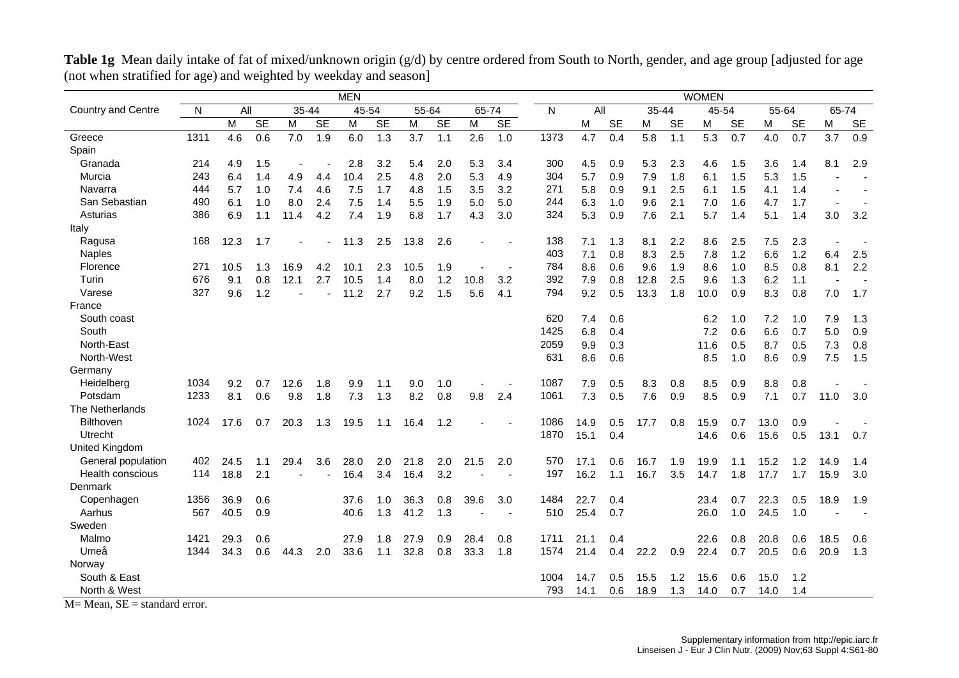|                                    |      |      |           |       |           | <b>MEN</b> |           |       |           |       |           |      |      |           |       |           | <b>WOMEN</b> |           |       |           |       |           |
|------------------------------------|------|------|-----------|-------|-----------|------------|-----------|-------|-----------|-------|-----------|------|------|-----------|-------|-----------|--------------|-----------|-------|-----------|-------|-----------|
| Country and Centre                 | N    | All  |           | 35-44 |           | 45-54      |           | 55-64 |           | 65-74 |           | N    | All  |           | 35-44 |           | 45-54        |           | 55-64 |           | 65-74 |           |
|                                    |      | M    | <b>SE</b> | М     | <b>SE</b> | M          | <b>SE</b> | М     | <b>SE</b> | M     | <b>SE</b> |      | М    | <b>SE</b> | M     | <b>SE</b> | M            | <b>SE</b> | М     | <b>SE</b> | M     | <b>SE</b> |
| Greece                             | 1311 | 4.6  | 0.6       | 7.0   | 1.9       | 6.0        | 1.3       | 3.7   | 1.1       | 2.6   | 1.0       | 1373 | 4.7  | 0.4       | 5.8   | 1.1       | 5.3          | 0.7       | 4.0   | 0.7       | 3.7   | 0.9       |
| Spain                              |      |      |           |       |           |            |           |       |           |       |           |      |      |           |       |           |              |           |       |           |       |           |
| Granada                            | 214  | 4.9  | 1.5       |       |           | 2.8        | 3.2       | 5.4   | 2.0       | 5.3   | 3.4       | 300  | 4.5  | 0.9       | 5.3   | 2.3       | 4.6          | 1.5       | 3.6   | 1.4       | 8.1   | 2.9       |
| Murcia                             | 243  | 6.4  | 1.4       | 4.9   | 4.4       | 10.4       | 2.5       | 4.8   | 2.0       | 5.3   | 4.9       | 304  | 5.7  | 0.9       | 7.9   | 1.8       | 6.1          | 1.5       | 5.3   | 1.5       |       |           |
| Navarra                            | 444  | 5.7  | 1.0       | 7.4   | 4.6       | 7.5        | 1.7       | 4.8   | 1.5       | 3.5   | 3.2       | 271  | 5.8  | 0.9       | 9.1   | 2.5       | 6.1          | 1.5       | 4.1   | 1.4       |       |           |
| San Sebastian                      | 490  | 6.1  | 1.0       | 8.0   | 2.4       | 7.5        | 1.4       | 5.5   | 1.9       | 5.0   | 5.0       | 244  | 6.3  | 1.0       | 9.6   | 2.1       | 7.0          | 1.6       | 4.7   | 1.7       |       |           |
| Asturias                           | 386  | 6.9  | 1.1       | 11.4  | 4.2       | 7.4        | 1.9       | 6.8   | 1.7       | 4.3   | 3.0       | 324  | 5.3  | 0.9       | 7.6   | 2.1       | 5.7          | 1.4       | 5.1   | 1.4       | 3.0   | 3.2       |
| Italy                              |      |      |           |       |           |            |           |       |           |       |           |      |      |           |       |           |              |           |       |           |       |           |
| Ragusa                             | 168  | 12.3 | 1.7       |       |           | 11.3       | 2.5       | 13.8  | 2.6       |       |           | 138  | 7.1  | 1.3       | 8.1   | 2.2       | 8.6          | 2.5       | 7.5   | 2.3       |       |           |
| <b>Naples</b>                      |      |      |           |       |           |            |           |       |           |       |           | 403  | 7.1  | 0.8       | 8.3   | 2.5       | 7.8          | 1.2       | 6.6   | 1.2       | 6.4   | 2.5       |
| Florence                           | 271  | 10.5 | 1.3       | 16.9  | 4.2       | 10.1       | 2.3       | 10.5  | 1.9       |       |           | 784  | 8.6  | 0.6       | 9.6   | 1.9       | 8.6          | 1.0       | 8.5   | 0.8       | 8.1   | 2.2       |
| Turin                              | 676  | 9.1  | 0.8       | 12.1  | 2.7       | 10.5       | 1.4       | 8.0   | 1.2       | 10.8  | 3.2       | 392  | 7.9  | 0.8       | 12.8  | 2.5       | 9.6          | 1.3       | 6.2   | 1.1       |       |           |
| Varese                             | 327  | 9.6  | 1.2       |       |           | 11.2       | 2.7       | 9.2   | 1.5       | 5.6   | 4.1       | 794  | 9.2  | 0.5       | 13.3  | 1.8       | 10.0         | 0.9       | 8.3   | 0.8       | 7.0   | 1.7       |
| France                             |      |      |           |       |           |            |           |       |           |       |           |      |      |           |       |           |              |           |       |           |       |           |
| South coast                        |      |      |           |       |           |            |           |       |           |       |           | 620  | 7.4  | 0.6       |       |           | 6.2          | 1.0       | 7.2   | 1.0       | 7.9   | 1.3       |
| South                              |      |      |           |       |           |            |           |       |           |       |           | 1425 | 6.8  | 0.4       |       |           | 7.2          | 0.6       | 6.6   | 0.7       | 5.0   | 0.9       |
| North-East                         |      |      |           |       |           |            |           |       |           |       |           | 2059 | 9.9  | 0.3       |       |           | 11.6         | 0.5       | 8.7   | 0.5       | 7.3   | 0.8       |
| North-West                         |      |      |           |       |           |            |           |       |           |       |           | 631  | 8.6  | 0.6       |       |           | 8.5          | 1.0       | 8.6   | 0.9       | 7.5   | 1.5       |
| Germany                            |      |      |           |       |           |            |           |       |           |       |           |      |      |           |       |           |              |           |       |           |       |           |
| Heidelberg                         | 1034 | 9.2  | 0.7       | 12.6  | 1.8       | 9.9        | 1.1       | 9.0   | 1.0       |       |           | 1087 | 7.9  | 0.5       | 8.3   | 0.8       | 8.5          | 0.9       | 8.8   | 0.8       |       |           |
| Potsdam                            | 1233 | 8.1  | 0.6       | 9.8   | 1.8       | 7.3        | 1.3       | 8.2   | 0.8       | 9.8   | 2.4       | 1061 | 7.3  | 0.5       | 7.6   | 0.9       | 8.5          | 0.9       | 7.1   | 0.7       | 11.0  | 3.0       |
| The Netherlands                    |      |      |           |       |           |            |           |       |           |       |           |      |      |           |       |           |              |           |       |           |       |           |
| <b>Bilthoven</b>                   | 1024 | 17.6 | 0.7       | 20.3  | 1.3       | 19.5       | 1.1       | 16.4  | 1.2       |       |           | 1086 | 14.9 | 0.5       | 17.7  | 0.8       | 15.9         | 0.7       | 13.0  | 0.9       |       |           |
| Utrecht                            |      |      |           |       |           |            |           |       |           |       |           | 1870 | 15.1 | 0.4       |       |           | 14.6         | 0.6       | 15.6  | 0.5       | 13.1  | 0.7       |
| <b>United Kingdom</b>              |      |      |           |       |           |            |           |       |           |       |           |      |      |           |       |           |              |           |       |           |       |           |
| General population                 | 402  | 24.5 | 1.1       | 29.4  | 3.6       | 28.0       | 2.0       | 21.8  | 2.0       | 21.5  | 2.0       | 570  | 17.1 | 0.6       | 16.7  | 1.9       | 19.9         | 1.1       | 15.2  | 1.2       | 14.9  | 1.4       |
| <b>Health conscious</b>            | 114  | 18.8 | 2.1       |       |           | 16.4       | 3.4       | 16.4  | 3.2       |       |           | 197  | 16.2 | 1.1       | 16.7  | 3.5       | 14.7         | 1.8       | 17.7  | 1.7       | 15.9  | 3.0       |
| Denmark                            |      |      |           |       |           |            |           |       |           |       |           |      |      |           |       |           |              |           |       |           |       |           |
| Copenhagen                         | 1356 | 36.9 | 0.6       |       |           | 37.6       | 1.0       | 36.3  | 0.8       | 39.6  | 3.0       | 1484 | 22.7 | 0.4       |       |           | 23.4         | 0.7       | 22.3  | 0.5       | 18.9  | 1.9       |
| Aarhus                             | 567  | 40.5 | 0.9       |       |           | 40.6       | 1.3       | 41.2  | 1.3       |       |           | 510  | 25.4 | 0.7       |       |           | 26.0         | 1.0       | 24.5  | 1.0       |       |           |
| Sweden                             |      |      |           |       |           |            |           |       |           |       |           |      |      |           |       |           |              |           |       |           |       |           |
| Malmo                              | 1421 | 29.3 | 0.6       |       |           | 27.9       | 1.8       | 27.9  | 0.9       | 28.4  | 0.8       | 1711 | 21.1 | 0.4       |       |           | 22.6         | 0.8       | 20.8  | 0.6       | 18.5  | 0.6       |
| Umeå                               | 1344 | 34.3 | 0.6       | 44.3  | 2.0       | 33.6       | 1.1       | 32.8  | 0.8       | 33.3  | 1.8       | 1574 | 21.4 | 0.4       | 22.2  | 0.9       | 22.4         | 0.7       | 20.5  | 0.6       | 20.9  | 1.3       |
| Norway                             |      |      |           |       |           |            |           |       |           |       |           |      |      |           |       |           |              |           |       |           |       |           |
| South & East                       |      |      |           |       |           |            |           |       |           |       |           | 1004 | 14.7 | 0.5       | 15.5  | 1.2       | 15.6         | 0.6       | 15.0  | 1.2       |       |           |
| North & West                       |      |      |           |       |           |            |           |       |           |       |           | 793  | 14.1 | 0.6       | 18.9  | 1.3       | 14.0         | 0.7       | 14.0  | 1.4       |       |           |
| $M=Mean$ , $SE = standard error$ . |      |      |           |       |           |            |           |       |           |       |           |      |      |           |       |           |              |           |       |           |       |           |

**Table 1g** Mean daily intake of fat of mixed/unknown origin (g/d) by centre ordered from South to North, gender, and age group [adjusted for age (not when stratified for age) and weighted by weekday and season]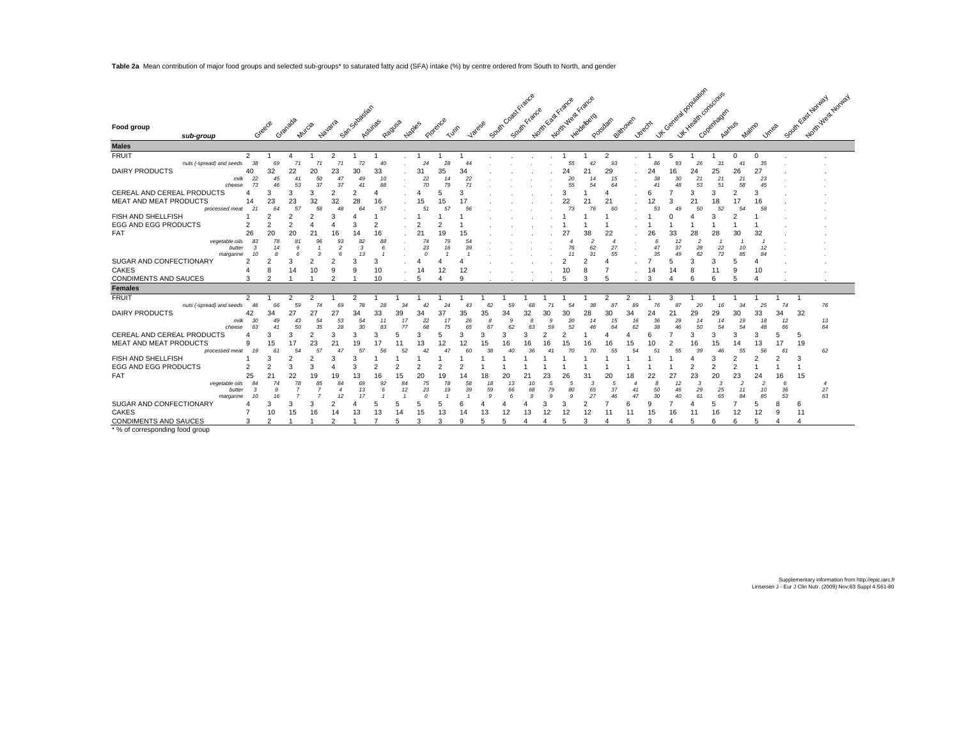**Table 2a** Mean contribution of major food groups and selected sub-groups\* to saturated fatty acid (SFA) intake (%) by centre ordered from South to North, and gender

| Food group                                                      |                          |         | Greece                    | Granada        | Murcia | Navarra             | San Sabastian  | Asturias | Ragusa | Naples         | Florence<br><b>Turn</b> |          | Varese | south Coast France | South France | Mary Mastriace<br>Mary East France | Heidelberg | Potsdam       | Bilthoven | <b>Utrecht</b> | Ly Casteria population |                      | Ly Health onesiates<br>Copenhagen | Aamus          | Mairro<br><b>Umea</b> |         | South East Norway | Mary Mast Norway |
|-----------------------------------------------------------------|--------------------------|---------|---------------------------|----------------|--------|---------------------|----------------|----------|--------|----------------|-------------------------|----------|--------|--------------------|--------------|------------------------------------|------------|---------------|-----------|----------------|------------------------|----------------------|-----------------------------------|----------------|-----------------------|---------|-------------------|------------------|
|                                                                 | sub-group                |         |                           |                |        |                     |                |          |        |                |                         |          |        |                    |              |                                    |            |               |           |                |                        |                      |                                   |                |                       |         |                   |                  |
| <b>Males</b><br><b>FRUIT</b>                                    |                          | 2       |                           |                |        | $\overline{2}$      |                |          |        |                |                         |          |        |                    |              |                                    |            | $\mathcal{P}$ |           |                | 5                      |                      |                                   | $\Omega$       | $\Omega$              |         |                   |                  |
|                                                                 | nuts (-spread) and seeds |         |                           |                |        |                     |                |          |        | 24             |                         |          |        |                    |              | 55                                 |            | 93            |           |                | 93                     | 26                   |                                   |                | 35                    |         |                   |                  |
| <b>DAIRY PRODUCTS</b>                                           |                          |         |                           |                |        | 23                  | 30             | 33       |        | $\overline{3}$ |                         |          |        |                    |              |                                    |            | 29            |           |                |                        |                      | 25                                | 26             |                       |         |                   |                  |
|                                                                 | milk                     | 22      | 45                        | 41             | 50     | 47                  | 49             |          |        | 22             |                         | 22       |        |                    |              | $\mathfrak{p}_0$                   |            | 15            |           | 38             | 30                     | 21                   | $\mathcal{P}$                     |                | 23                    |         |                   |                  |
|                                                                 | cheese                   | 73      |                           | 53             | 37     | 37                  |                |          |        | 70             | 79                      | 71       |        |                    |              |                                    |            | 64            |           |                | 48                     | 53                   | $\mathcal{F}$                     | 58             | 45                    |         |                   |                  |
| CEREAL AND CEREAL PRODUCTS                                      |                          |         |                           |                |        |                     |                |          |        |                |                         |          |        |                    |              |                                    |            |               |           |                |                        |                      |                                   |                |                       |         |                   |                  |
| MEAT AND MEAT PRODUCTS                                          |                          | 14      | 23                        |                | 32     | 32                  | 28             | 16       |        |                |                         |          |        |                    |              |                                    |            |               |           |                |                        |                      |                                   |                |                       |         |                   |                  |
|                                                                 | processed meat           | 21      | 64                        | 57             | 58     | 48                  | 6.             | 51       |        |                | 57                      | 56       |        |                    |              |                                    | 76         | 60            |           | 53             | 49                     | 50                   |                                   |                | 58                    |         |                   |                  |
| FISH AND SHELLFISH                                              |                          |         |                           |                |        |                     |                |          |        |                |                         |          |        |                    |              |                                    |            |               |           |                |                        |                      |                                   |                |                       |         |                   |                  |
| <b>EGG AND EGG PRODUCTS</b>                                     |                          |         |                           | $\overline{2}$ |        |                     | 3              |          |        |                | ີ                       |          |        |                    |              |                                    |            |               |           |                |                        |                      |                                   |                |                       |         |                   |                  |
| <b>FAT</b>                                                      |                          | 26      | 20                        | $\overline{2}$ |        | 16                  | 14             | 16       |        | 21             | 19                      |          |        |                    |              |                                    | 38         | 22            |           |                | 33                     | 28                   | 28                                | 30             | 32                    |         |                   |                  |
|                                                                 | vegetable oils<br>butter | 83<br>3 | 78                        |                | 9ŕ     | 93<br>$\mathcal{D}$ | 82<br>з        | 88       |        | 74<br>23       | 79<br>16                | 54<br>39 |        |                    |              | 76                                 | 62         | 4<br>27       |           | 47             | 12<br>37               | $\overline{c}$<br>28 | 22                                | 10             | 12                    |         |                   |                  |
|                                                                 | margarine                |         |                           |                |        |                     |                |          |        |                |                         |          |        |                    |              |                                    | 31         | 55            |           | 35             | 49                     | 62                   | 72                                |                | Ŕ,                    |         |                   |                  |
| SUGAR AND CONFECTIONARY                                         |                          |         |                           |                |        |                     |                | 3        |        |                |                         |          |        |                    |              |                                    |            |               |           |                |                        |                      |                                   |                |                       |         |                   |                  |
| CAKES                                                           |                          |         |                           |                | 10     |                     | $\mathbf{Q}$   | 10       |        |                | 12                      |          |        |                    |              |                                    |            |               |           |                |                        |                      |                                   |                | 10                    |         |                   |                  |
| <b>CONDIMENTS AND SAUCES</b>                                    |                          | 3       | $\mathfrak{p}$            |                |        |                     |                | 10       |        | 5              |                         | g        |        |                    |              |                                    | 3          |               |           | 3              |                        |                      | 6                                 |                |                       |         |                   |                  |
| <b>Females</b>                                                  |                          |         |                           |                |        |                     |                |          |        |                |                         |          |        |                    |              |                                    |            |               |           |                |                        |                      |                                   |                |                       |         |                   |                  |
| <b>FRUIT</b>                                                    |                          | 2       |                           | $\overline{2}$ | 2      |                     | $\overline{2}$ |          |        |                |                         |          |        |                    |              |                                    |            |               | 2         |                | 3                      |                      |                                   |                |                       |         | -1                |                  |
|                                                                 | nuts (-spread) and seeds |         |                           | 50             | 74     |                     |                |          |        |                |                         |          |        |                    |              |                                    |            |               |           |                |                        | 20                   |                                   |                | 25                    | 74      |                   | 76               |
| <b>DAIRY PRODUCTS</b>                                           |                          | 42      |                           |                |        |                     |                | 33       | 39     |                |                         |          |        |                    |              |                                    |            |               |           |                |                        |                      | 29                                | 30             | 33                    | 34      | 32                |                  |
|                                                                 | milk                     | 30      |                           |                | 54     | 53                  |                |          | 17     | 22             |                         | 26       |        |                    |              |                                    |            |               |           | 36             | 29                     |                      |                                   | 19             |                       | 12      |                   | 13               |
| CEREAL AND CEREAL PRODUCTS                                      | cheese                   | 61      |                           |                | 35     | 28                  | 3              |          | 77     | 68             | 75                      | 65       | 67     | 62                 | 6.           |                                    |            |               |           | 38             | 46                     | 50                   |                                   |                | Δ۶                    | 66<br>5 | 5                 | 64               |
| MEAT AND MEAT PRODUCTS                                          |                          |         |                           |                |        | 21                  |                |          |        |                |                         |          |        |                    |              |                                    |            |               |           |                |                        |                      | 15                                |                | 13                    | 17      | 19                |                  |
|                                                                 | processed meat           |         |                           |                | 57     |                     |                |          |        |                |                         |          |        |                    |              |                                    | 16         | 16            |           |                |                        |                      |                                   | 14             |                       | 61      |                   | 62               |
| FISH AND SHELLFISH                                              |                          |         |                           |                |        |                     | 3              |          |        |                |                         |          |        |                    |              |                                    |            |               |           |                |                        |                      | З                                 |                |                       |         | 3                 |                  |
| <b>EGG AND EGG PRODUCTS</b>                                     |                          |         |                           | 3              | 3      |                     | 3              |          |        |                |                         |          |        |                    |              |                                    |            |               |           |                |                        |                      | $\overline{2}$                    | $\overline{2}$ |                       |         | -1                |                  |
| FAT                                                             |                          | 25      | $\mathsf{2}^{\mathsf{2}}$ | 22             | 19     |                     | 13             | 16       | 15     | 20             | 19                      |          |        |                    |              |                                    |            |               |           |                |                        | 23                   | 20                                | 23             | 24                    | 16      | 15                |                  |
|                                                                 | vegetable oils           |         | 74                        | 78             | 85     | 84                  | 69             |          |        | 75             |                         | 58       | 18     |                    |              |                                    |            |               |           |                | 12                     | 3                    | 3                                 |                |                       | 6       |                   |                  |
|                                                                 | butter                   | 3       |                           |                |        |                     | 13             |          | 12     | 23             | 19                      | 39       | 59     | 66                 | 68           |                                    | 65         | 37            |           | 50             | 46                     | 29                   | 25                                | 11             | 10                    | 36      |                   | 27               |
|                                                                 | margarine                |         |                           |                |        |                     |                |          |        |                |                         |          |        |                    |              |                                    |            |               |           | 30             | $40^{\circ}$           | 61                   |                                   |                | 85                    | 53      |                   | 63               |
| SUGAR AND CONFECTIONARY                                         |                          |         | 3                         | 3              |        |                     |                |          |        |                |                         |          |        |                    |              |                                    |            |               |           | 9              |                        |                      |                                   |                |                       | 8       | 6                 |                  |
| CAKES                                                           |                          |         | 10<br>$\mathcal{P}$       | 15             | 16     | 14<br>$\sim$        | 13             | 13       | 14     | 15             | 13<br>२                 |          | Ι3     | 12                 |              |                                    |            |               |           | 15             | 16                     |                      | 16                                | 12             | 12                    | 9       | 11                |                  |
| <b>CONDIMENTS AND SAUCES</b><br>* % of corresponding food group |                          |         |                           |                |        |                     |                |          |        | 3              |                         |          |        | 5                  |              | 5                                  | 3          |               | 5         | 3              |                        |                      | հ                                 |                | 5                     |         |                   |                  |

\* % of corresponding food group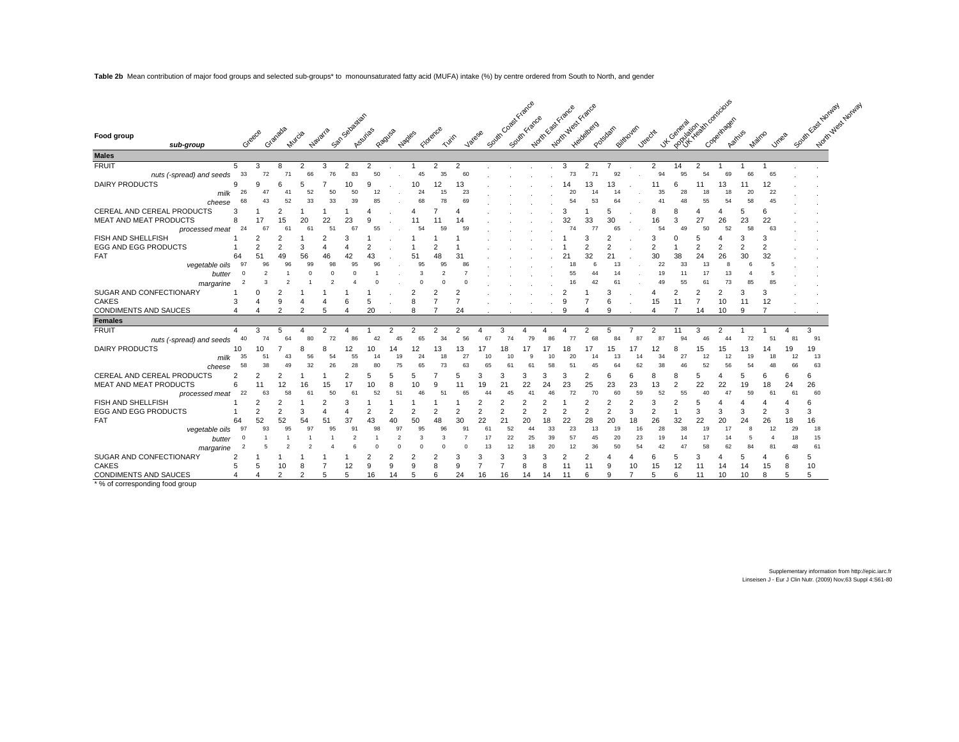**Table 2b** Mean contribution of major food groups and selected sub-groups\* to monounsaturated fatty acid (MUFA) intake (%) by centre ordered from South to North, and gender

| Food group<br>sub-group              |         | Greece | Granada | Murcia   | Navarra | San Sabastian | Asturias | R-agusa | Naples         | Florence<br>Turin       |    | Vatese | South Coast France | South France |    | Montreal France | Mary Mast France | Potsdam              | Bilthoven | Jirrecht |          | of construction considerable |          | Aaritus  | Maimo<br><b>Vines</b> |    | South East Norway<br>Mary Meschonian |  |
|--------------------------------------|---------|--------|---------|----------|---------|---------------|----------|---------|----------------|-------------------------|----|--------|--------------------|--------------|----|-----------------|------------------|----------------------|-----------|----------|----------|------------------------------|----------|----------|-----------------------|----|--------------------------------------|--|
| <b>Males</b>                         |         |        |         |          |         |               |          |         |                |                         |    |        |                    |              |    |                 |                  |                      |           |          |          |                              |          |          |                       |    |                                      |  |
| <b>FRUIT</b>                         | 5       | 3      | 8       |          | 3       |               |          |         |                | 2                       | 2  |        |                    |              |    | 3               |                  |                      |           |          | 14       | 2                            |          |          |                       |    |                                      |  |
| nuts (-spread) and seeds             | 33      |        |         |          |         |               |          |         |                | 35                      | 60 |        |                    |              |    | 73              |                  | 92                   |           |          |          |                              |          |          | 65                    |    |                                      |  |
| <b>DAIRY PRODUCTS</b>                |         |        |         |          |         |               |          |         |                |                         | 13 |        |                    |              |    |                 |                  |                      |           |          |          |                              |          |          | 12                    |    |                                      |  |
| milk                                 |         |        |         |          |         |               |          |         |                | 15                      | 23 |        |                    |              |    |                 |                  |                      |           |          |          |                              |          |          | 22                    |    |                                      |  |
| cheese                               |         |        |         | 33       |         |               |          |         |                | 78                      | 69 |        |                    |              |    |                 |                  |                      |           |          |          |                              |          |          | 45                    |    |                                      |  |
| CEREAL AND CEREAL PRODUCTS           |         |        |         |          |         |               |          |         |                |                         |    |        |                    |              |    |                 |                  |                      |           |          |          |                              |          |          |                       |    |                                      |  |
| MEAT AND MEAT PRODUCTS               |         |        |         |          |         |               |          |         |                | 59                      |    |        |                    |              |    |                 | ٩٩               |                      |           |          |          | 27<br>50                     | 26<br>52 | 23<br>58 | 22<br>63              |    |                                      |  |
| processed meat                       | 24      |        |         |          |         |               |          |         |                |                         |    |        |                    |              |    |                 |                  |                      |           |          |          |                              |          |          |                       |    |                                      |  |
| FISH AND SHELLFISH                   |         |        |         |          |         |               |          |         |                |                         |    |        |                    |              |    |                 |                  |                      |           |          |          |                              |          |          |                       |    |                                      |  |
| EGG AND EGG PRODUCTS<br>FAT          |         |        |         |          |         |               |          |         |                |                         |    |        |                    |              |    |                 |                  |                      |           |          |          | $\overline{2}$               |          | 2<br>30  | $\overline{2}$<br>32  |    |                                      |  |
|                                      | 64<br>9 | 51     | 96      | 56<br>99 |         |               |          |         | 51             | 95                      | 31 |        |                    |              |    |                 | 32               | $\mathbf{2}^{\circ}$ |           | 30<br>22 | 38<br>33 | 24<br>13                     | 26       |          |                       |    |                                      |  |
| vegetable oils                       |         |        |         |          |         |               |          |         |                | $\overline{\mathbf{c}}$ |    |        |                    |              |    | 55              |                  |                      |           | 1S       | 11       |                              | 13       |          |                       |    |                                      |  |
| butter                               |         |        |         |          |         |               |          |         |                | C                       |    |        |                    |              |    |                 |                  |                      |           |          |          |                              | 73       | 85       | 85                    |    |                                      |  |
| margarine<br>SUGAR AND CONFECTIONARY |         |        |         |          |         |               |          |         |                |                         |    |        |                    |              |    |                 |                  |                      |           |          |          |                              |          |          | 3                     |    |                                      |  |
| CAKES                                |         |        |         |          |         |               |          |         |                |                         |    |        |                    |              |    |                 |                  |                      |           | 15       | 11       |                              | 10       | 11       | 12                    |    |                                      |  |
| CONDIMENTS AND SAUCES                |         |        |         |          |         |               | 20       |         | R              |                         | 24 |        |                    |              |    |                 |                  |                      |           |          |          | 14                           | 10       | g        |                       |    |                                      |  |
| <b>Females</b>                       |         |        |         |          |         |               |          |         |                |                         |    |        |                    |              |    |                 |                  |                      |           |          |          |                              |          |          |                       |    |                                      |  |
| <b>FRUIT</b>                         |         | 3      | 5       |          | 2       |               |          |         |                |                         |    |        |                    |              |    |                 |                  | 5                    |           |          |          | 3                            |          |          |                       |    | 3                                    |  |
| nuts (-spread) and seeds             |         |        |         |          |         |               |          |         |                |                         |    |        |                    |              |    |                 |                  |                      |           |          |          |                              |          |          |                       |    | 91                                   |  |
| <b>DAIRY PRODUCTS</b>                | 10      |        |         |          |         |               |          |         |                |                         |    |        |                    |              |    |                 |                  |                      |           |          |          |                              |          |          |                       |    | 19                                   |  |
| milk                                 |         |        |         |          |         |               |          |         |                |                         |    |        |                    |              |    |                 |                  |                      |           |          |          |                              |          |          |                       | 12 | 13                                   |  |
| cheese                               |         |        |         |          |         |               |          |         |                |                         |    |        |                    |              |    |                 |                  |                      |           |          |          |                              |          |          |                       |    | 63                                   |  |
| CEREAL AND CEREAL PRODUCTS           |         |        |         |          |         |               |          |         |                |                         |    |        |                    |              |    |                 |                  |                      |           |          |          |                              |          |          |                       |    | 6                                    |  |
| MEAT AND MEAT PRODUCTS               |         |        |         |          |         |               |          |         |                |                         |    |        |                    |              |    |                 | 25               |                      |           | з        |          |                              | 22       |          |                       |    | 26                                   |  |
| processed meat                       | 22      |        |         |          |         |               |          |         |                |                         |    |        |                    |              |    |                 |                  |                      |           |          |          |                              |          |          |                       |    | 60                                   |  |
| FISH AND SHELLFISH                   |         |        |         |          |         |               |          |         |                |                         |    |        |                    |              |    |                 |                  |                      |           |          |          |                              |          |          |                       |    | 6                                    |  |
| <b>EGG AND EGG PRODUCTS</b>          |         |        |         |          |         |               |          |         | $\overline{2}$ |                         |    |        |                    |              |    |                 |                  | 2                    | 3         |          |          | 3                            |          | 3        |                       |    | 3                                    |  |
| FAT                                  | 64      | 52     | 52      | 54       |         |               |          |         | 50             |                         | 30 | 22     |                    |              | 18 | 22              | 28               | 20                   | 18        | 26       | 32       | 22                           | 20       | 24       | 26                    |    | 16                                   |  |
| vegetable oils                       |         | 93     | 95      | 97       |         |               |          |         |                |                         | 9  |        |                    |              |    | 23              | 13               | 19                   | 16        | 28       | 38       | 19                           |          |          |                       | 29 | 18                                   |  |
| butter                               |         |        |         |          |         |               |          |         |                |                         |    |        | 22                 | 25           |    | 5.              | 45               | 20                   | 23        | 19       |          |                              |          |          |                       |    | 15                                   |  |
| margarine                            |         |        |         |          |         |               |          |         |                |                         |    |        |                    |              |    |                 |                  | 50                   |           |          |          |                              |          |          |                       |    | 61                                   |  |
| SUGAR AND CONFECTIONARY              |         |        |         |          |         |               |          |         |                |                         |    |        |                    |              |    |                 |                  |                      |           |          |          |                              |          |          |                       |    |                                      |  |
| CAKES                                |         |        | 10      |          |         | 12            | 9        | 9       | 9              |                         |    |        |                    |              |    |                 | 11               | 9                    | 10        | 15       | 12       | -11                          | 14       | 14       | 15                    |    | 10                                   |  |
| CONDIMENTS AND SAUCES                |         |        |         |          |         |               | 16       | 14      | 5              | Բ                       | 24 | 16     | 16                 | 14           | 14 |                 |                  | 9                    |           | 5        | 6        | 11                           | 10       | 10       | 8                     | 5  | 5                                    |  |
| * % of corresponding food group      |         |        |         |          |         |               |          |         |                |                         |    |        |                    |              |    |                 |                  |                      |           |          |          |                              |          |          |                       |    |                                      |  |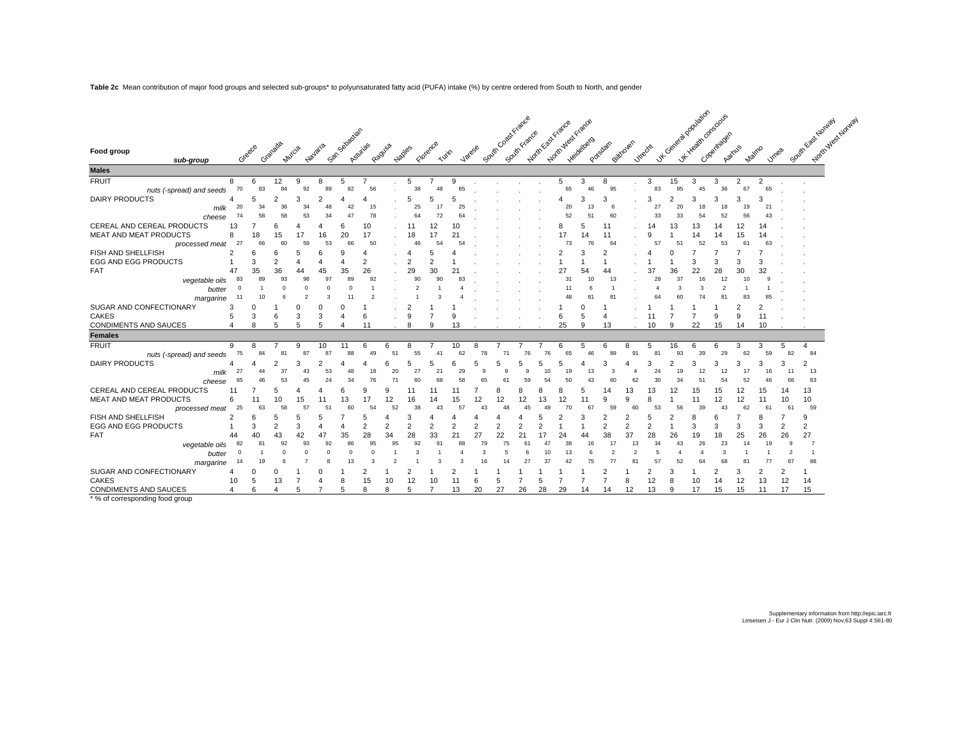**Table 2c** Mean contribution of major food groups and selected sub-groups\* to polyunsaturated fatty acid (PUFA) intake (%) by centre ordered from South to North, and gender

| Ly Canada doplaton<br>V. Health conscious<br>South Coast France<br>Monthly Magical<br>Montreas France<br>Sacragastian<br>South France<br>Copenhagen<br><b>Heidelberg</b><br>Bilthoven<br>Granada<br>Potedam<br>Florence<br>Asturias<br>Navarra<br>Ragusa<br><b>Jurecht</b><br>Greece<br>Naples<br>Murcia<br>Varese<br>Food group<br>Tuin<br>sub-group | Month West Norway<br>South East Norway<br>Astrus<br>Maimo<br><b>Umea</b> |
|-------------------------------------------------------------------------------------------------------------------------------------------------------------------------------------------------------------------------------------------------------------------------------------------------------------------------------------------------------|--------------------------------------------------------------------------|
| <b>Males</b>                                                                                                                                                                                                                                                                                                                                          |                                                                          |
| <b>FRUIT</b><br>12<br>9<br>3<br>3<br>8<br>6<br>5<br>3<br>3<br>15<br>8<br>5<br>8<br>5                                                                                                                                                                                                                                                                  | $\overline{2}$<br>2                                                      |
| 70<br>83<br>92<br>38<br>48<br>95<br>36<br>84<br>56<br>65<br>65<br>83<br>95<br>45<br>nuts (-spread) and seeds                                                                                                                                                                                                                                          | 67<br>65                                                                 |
| DAIRY PRODUCTS<br>з                                                                                                                                                                                                                                                                                                                                   |                                                                          |
| 20<br>34<br>25<br>27<br>36<br>20<br>20<br>milk                                                                                                                                                                                                                                                                                                        |                                                                          |
| 52<br>72<br>74<br>51<br>60<br>33<br>54<br>52<br>cheese                                                                                                                                                                                                                                                                                                | 56                                                                       |
| CEREAL AND CEREAL PRODUCTS<br>13<br>10<br>-11<br>13                                                                                                                                                                                                                                                                                                   |                                                                          |
| MEAT AND MEAT PRODUCTS<br>20<br>17<br>8<br>-11<br>14<br>14                                                                                                                                                                                                                                                                                            |                                                                          |
| 27<br>50<br>52<br>processed meat                                                                                                                                                                                                                                                                                                                      |                                                                          |
| FISH AND SHELLFISH<br>2                                                                                                                                                                                                                                                                                                                               |                                                                          |
| <b>EGG AND EGG PRODUCTS</b><br>2<br>3<br>2<br>З                                                                                                                                                                                                                                                                                                       |                                                                          |
| FAT<br>35<br>36<br>35<br>26<br>2c<br>37<br>36<br>22<br>28<br>54<br>44<br>47<br>45                                                                                                                                                                                                                                                                     | 30                                                                       |
| 98<br>97<br>92<br>93<br>89<br>90<br>90<br>28<br>37<br>12<br>vegetable oils<br>89<br>31<br>16<br>83                                                                                                                                                                                                                                                    |                                                                          |
| 3<br>11<br>butter                                                                                                                                                                                                                                                                                                                                     |                                                                          |
| 48<br>margarine                                                                                                                                                                                                                                                                                                                                       |                                                                          |
| SUGAR AND CONFECTIONARY                                                                                                                                                                                                                                                                                                                               |                                                                          |
| CAKES<br>9<br>3<br>3                                                                                                                                                                                                                                                                                                                                  | 9<br>11                                                                  |
| CONDIMENTS AND SAUCES<br>25<br>10<br>22<br>15<br>13                                                                                                                                                                                                                                                                                                   | 10<br>14                                                                 |
| <b>Females</b>                                                                                                                                                                                                                                                                                                                                        |                                                                          |
| <b>FRUIT</b><br>9<br>10<br>8<br>a<br>10<br>8<br>16<br>6<br>5<br>6<br>6                                                                                                                                                                                                                                                                                | 3<br>p<br>4                                                              |
| 39<br>29<br>nuts (-spread) and seeds                                                                                                                                                                                                                                                                                                                  | 84<br>62<br>83                                                           |
| <b>DAIRY PRODUCTS</b>                                                                                                                                                                                                                                                                                                                                 | $\overline{2}$                                                           |
| 27<br>milk                                                                                                                                                                                                                                                                                                                                            | 13                                                                       |
| cheese                                                                                                                                                                                                                                                                                                                                                | 63                                                                       |
| CEREAL AND CEREAL PRODUCTS<br>12<br>15<br>15                                                                                                                                                                                                                                                                                                          | 13                                                                       |
| MEAT AND MEAT PRODUCTS<br>12<br>13<br>13                                                                                                                                                                                                                                                                                                              | 10<br>2                                                                  |
| 25<br>51<br>processed meat                                                                                                                                                                                                                                                                                                                            | 59<br>6                                                                  |
| FISH AND SHELLFISH                                                                                                                                                                                                                                                                                                                                    | 9                                                                        |
| EGG AND EGG PRODUCTS<br>2<br>$\overline{2}$<br>$\overline{2}$<br>3<br>$\overline{2}$<br>3<br>3                                                                                                                                                                                                                                                        | $\overline{2}$<br>3                                                      |
| FAT<br>28<br>35<br>28<br>34<br>38<br>28<br>26<br>33<br>27<br>19<br>18<br>Δſ<br>47                                                                                                                                                                                                                                                                     | 25<br>27<br>26                                                           |
| 93<br>92<br>95<br>95<br>34<br>23<br>vegetable oils<br>82<br>92<br>86<br>13<br>26<br>8<br>۹                                                                                                                                                                                                                                                            |                                                                          |
| $\Omega$<br>butter                                                                                                                                                                                                                                                                                                                                    |                                                                          |
| 51<br>52<br>margarine                                                                                                                                                                                                                                                                                                                                 | 88                                                                       |
| SUGAR AND CONFECTIONARY                                                                                                                                                                                                                                                                                                                               | 3                                                                        |
| CAKES<br>15<br>14<br>10<br>12<br>12<br>10<br>10<br>10<br>5<br>13                                                                                                                                                                                                                                                                                      | 12<br>13<br>12<br>14                                                     |
| CONDIMENTS AND SAUCES<br>13<br>20<br>27<br>26<br>28<br>13<br>17<br>15<br>29<br>12<br>q<br>14<br>14                                                                                                                                                                                                                                                    | 15<br>17<br>15<br>11                                                     |

\* % of corresponding food group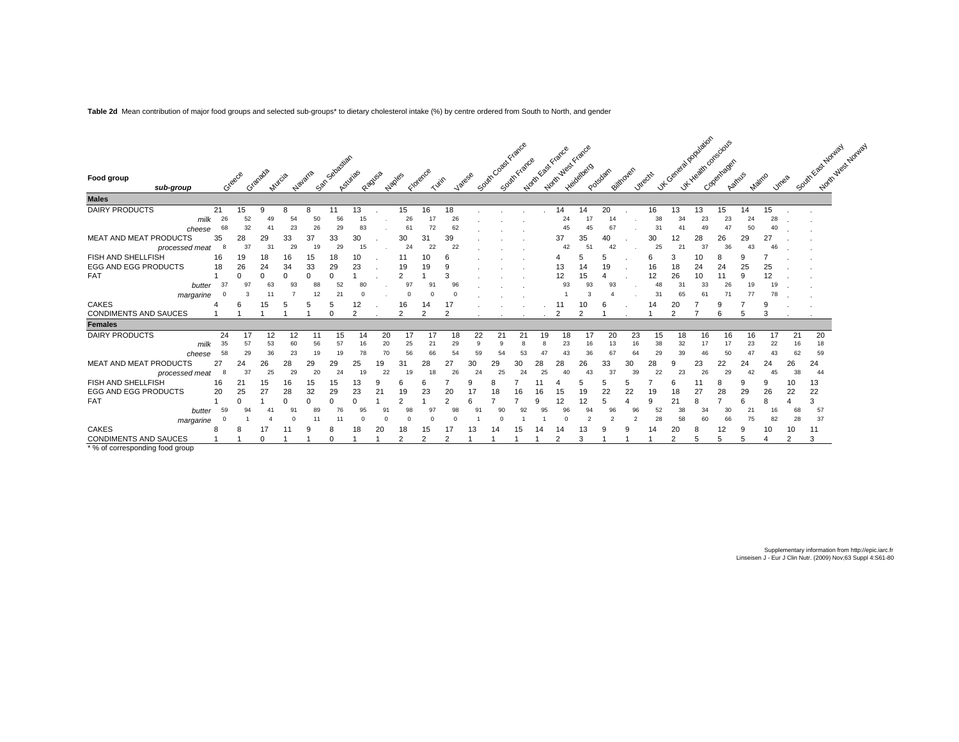| Food group                                   | sub-group      |    | Greece | Granada | Murcia | Navarra | San Sabastian | Asturias | Ragusa | Maples        | Florence<br>$\prec$ viin |                | <b>Jargs</b> | South Coast France | South France |    | Montreal Fraces | Mary Mes France | Potedam | Bilthoven | <b>Jurecht</b> | Ly Casterda doplation |    | Lyce are dreaded<br>Copenhagen | Aarnus         | Maimo<br><b>Vines</b> |    | Sourcest November<br>Martin West Norway |
|----------------------------------------------|----------------|----|--------|---------|--------|---------|---------------|----------|--------|---------------|--------------------------|----------------|--------------|--------------------|--------------|----|-----------------|-----------------|---------|-----------|----------------|-----------------------|----|--------------------------------|----------------|-----------------------|----|-----------------------------------------|
| <b>Males</b>                                 |                |    |        |         |        |         |               |          |        |               |                          |                |              |                    |              |    |                 |                 |         |           |                |                       |    |                                |                |                       |    |                                         |
| <b>DAIRY PRODUCTS</b>                        |                | 21 | 15     | 9       |        |         |               | 13       |        | 15            | 16                       | 18             |              |                    |              |    |                 | 14              | 20      |           | 16             | 13                    | 13 | 15                             | 14             | 15                    |    |                                         |
|                                              | milk           | 26 |        |         |        |         |               | 15       |        | 26            | 17                       | 26             |              |                    |              |    |                 |                 |         |           | 38             | 34                    | 23 | 23                             | 24             | 28                    |    |                                         |
|                                              | cheese         |    | 32     |         | 23     | 26      |               | 83       |        |               | 72                       | 62             |              |                    |              |    |                 |                 |         |           | 31             |                       | 49 |                                | 50             |                       |    |                                         |
| MEAT AND MEAT PRODUCTS                       |                | 35 | 28     | 29      | 33     | 3       | 33            | 30       |        | 30            | 31                       | 39             |              |                    |              |    | 37              | 35              |         |           | 30             |                       | 28 | 26                             | 29             |                       |    |                                         |
|                                              | processed meat | 8  | 37     | 3.      | 29     | 19      | 29            | 15       |        | 24            | 22                       | 22             |              |                    |              |    | 42              | 5'              |         |           | 25             | 21                    | 37 | 36                             | 43             |                       |    |                                         |
| <b>FISH AND SHELLFISH</b>                    |                | 16 | 19     | 18      | 16     | 15      | 18            | 10       |        |               | 10                       | 6              |              |                    |              |    |                 |                 | 5       |           | 6              | 3                     | 10 | 8                              |                |                       |    |                                         |
| <b>EGG AND EGG PRODUCTS</b>                  |                | 18 | 26     | 24      | 34     | 33      | 29            | 23       |        | 19            | 19                       | 9              |              |                    |              |    | 13              |                 | 19      |           | 16             | 18                    | 24 | 24                             | 25             |                       |    |                                         |
| <b>FAT</b>                                   |                |    |        |         |        |         |               |          |        | $\mathcal{P}$ |                          | 3              |              |                    |              |    | 12              | 15              |         |           | 12             | 26                    | 10 |                                | <sub>9</sub>   |                       |    |                                         |
|                                              | butter         | 37 |        | 63      | 93     | 88      | 52            | 80       |        | 97            | 9 <sup>1</sup>           | 96             |              |                    |              |    | 93              | 93              | ٩ŕ      |           | 48             | 31                    | 33 | 26                             | 1 <sup>c</sup> |                       |    |                                         |
|                                              | margarine      |    |        |         |        |         | 21            |          |        |               |                          |                |              |                    |              |    |                 |                 |         |           | 31             | 65                    | 61 |                                | 77             |                       |    |                                         |
| <b>CAKES</b>                                 |                |    |        |         |        |         |               | 12       |        |               | 14                       |                |              |                    |              |    |                 |                 |         |           |                |                       |    |                                |                |                       |    |                                         |
| <b>CONDIMENTS AND SAUCES</b>                 |                |    |        |         |        |         |               |          |        | ີ             |                          | C              |              |                    |              |    |                 |                 |         |           |                | c                     |    | ĥ                              |                | ٩                     |    |                                         |
| <b>Females</b>                               |                |    |        |         |        |         |               |          |        |               |                          |                |              |                    |              |    |                 |                 |         |           |                |                       |    |                                |                |                       |    |                                         |
| <b>DAIRY PRODUCTS</b>                        |                | 24 | 17     | 12      | 12     |         | 15            | 14       | 20     | 17            | 17                       | 18             | 22           | 21                 | 2            | 19 | 18              | 17              | 20      | 23        | 15             | 18                    | 16 | 16                             | 16             | 17                    | 21 | 20                                      |
|                                              | milk           | 35 | 57     | 53      | 60     | 56      | 57            | 16       | 20     | 25            | 21                       | 29             | 9            |                    |              |    | 23              | 16              | 13      | 16        | 38             | 32                    | 17 | 17                             | 23             | 22                    | 16 | 18                                      |
|                                              | cheese         | 58 | 29     | 36      | 23     |         |               | 78       | 70     | 56            | 66                       | 54             | 59           |                    |              |    |                 |                 | 67      | 64        | 29             | 39                    | 46 |                                |                |                       | 62 | 59                                      |
| <b>MEAT AND MEAT PRODUCTS</b>                |                | 27 | 24     | 26      | 28     | 29      | 29            | 25       | 19     | 3             | 28                       | 27             | 30           | 29                 | 30           |    |                 |                 | 33      | 30        | 28             |                       | 23 | 22                             | 24             |                       |    | 24                                      |
|                                              | processed meat |    | 37     | 25      | 29     | 20      |               | 19       | 22     |               |                          |                |              |                    |              |    |                 |                 | 37      | 39        | 22             | 23                    | 26 | 29                             |                |                       | 38 | -44                                     |
| <b>FISH AND SHELLFISH</b>                    |                | 16 | 21     | 15      | 16     | 15      | 15            | 13       |        | 6             |                          |                |              |                    |              |    |                 |                 | 5       | h         |                | 6                     |    | 8                              | 9              | 9                     | 10 | 13                                      |
| <b>EGG AND EGG PRODUCTS</b>                  |                | 20 | 25     | 27      | 28     | 32      | 29            | 23       | 21     | 19            | 23                       | 20             |              | 18                 | 16           | 16 | ١ć              | 19              | 22      | 22        | 19             | 18                    | 27 | 28                             | 29             | 26                    | 22 | 22                                      |
| FAT                                          |                |    |        |         |        |         |               |          |        | $\Omega$      |                          | $\overline{2}$ |              |                    |              |    |                 | 12              | 5       |           | 9              | 21                    |    |                                |                | 8                     |    | 3                                       |
|                                              | butter         | 59 |        |         |        |         |               |          |        |               | 97                       |                |              |                    |              |    |                 |                 |         |           | 52             | 38                    | 34 | 30                             |                |                       | 68 | 57                                      |
|                                              | margarine      |    |        |         |        |         |               |          |        |               |                          |                |              |                    |              |    |                 |                 |         |           | 28             | 58                    | 60 | 66                             | 75             | 82                    | 28 | 37                                      |
| <b>CAKES</b>                                 |                |    |        |         |        |         |               | 18       | 20     | 18            | 15                       |                |              |                    |              |    |                 |                 |         |           |                | 20                    |    | 12                             | 9              | 10                    | 10 | 11                                      |
| <b>CONDIMENTS AND SAUCES</b><br>$+ 0.1 + 1.$ | $\cdots$       |    |        |         |        |         |               |          |        | $\mathcal{P}$ | C                        | 2              |              |                    |              |    |                 | -2              |         |           |                | $\mathcal{D}$         |    | 5                              |                |                       | c  | 3                                       |

**Table 2d** Mean contribution of major food groups and selected sub-groups\* to dietary cholesterol intake (%) by centre ordered from South to North, and gender

% of corresponding food group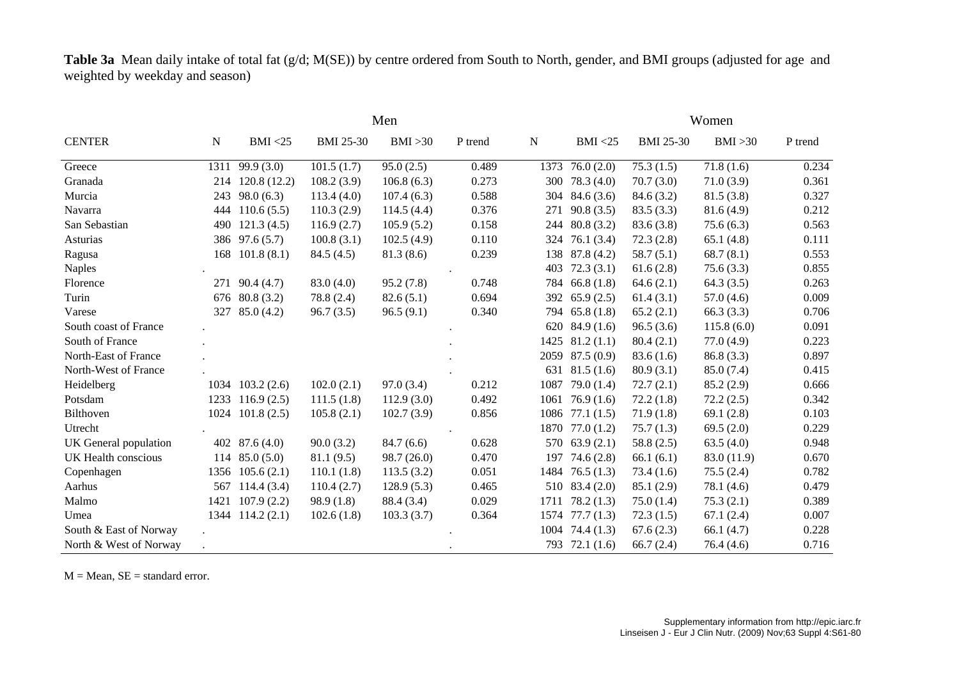**Table 3a** Mean daily intake of total fat (g/d; M(SE)) by centre ordered from South to North, gender, and BMI groups (adjusted for age and weighted by weekday and season)

|                        |      |                  |                  | Men        |         |      |                 |                  | Women        |         |
|------------------------|------|------------------|------------------|------------|---------|------|-----------------|------------------|--------------|---------|
| <b>CENTER</b>          | N    | BMI < 25         | <b>BMI 25-30</b> | BMI > 30   | P trend | N    | BMI < 25        | <b>BMI 25-30</b> | BMI > 30     | P trend |
| Greece                 | 1311 | 99.9(3.0)        | 101.5(1.7)       | 95.0(2.5)  | 0.489   | 1373 | 76.0(2.0)       | 75.3(1.5)        | 71.8(1.6)    | 0.234   |
| Granada                | 214  | 120.8(12.2)      | 108.2(3.9)       | 106.8(6.3) | 0.273   | 300  | 78.3 (4.0)      | 70.7(3.0)        | 71.0(3.9)    | 0.361   |
| Murcia                 | 243  | 98.0(6.3)        | 113.4(4.0)       | 107.4(6.3) | 0.588   |      | 304 84.6 (3.6)  | 84.6 (3.2)       | 81.5(3.8)    | 0.327   |
| Navarra                | 444  | 110.6(5.5)       | 110.3(2.9)       | 114.5(4.4) | 0.376   | 271  | 90.8(3.5)       | 83.5(3.3)        | 81.6(4.9)    | 0.212   |
| San Sebastian          | 490  | 121.3(4.5)       | 116.9(2.7)       | 105.9(5.2) | 0.158   | 244  | 80.8(3.2)       | 83.6(3.8)        | 75.6(6.3)    | 0.563   |
| Asturias               |      | 386 97.6 (5.7)   | 100.8(3.1)       | 102.5(4.9) | 0.110   | 324  | 76.1 (3.4)      | 72.3(2.8)        | 65.1(4.8)    | 0.111   |
| Ragusa                 | 168  | 101.8(8.1)       | 84.5(4.5)        | 81.3(8.6)  | 0.239   | 138  | 87.8 (4.2)      | 58.7(5.1)        | 68.7(8.1)    | 0.553   |
| <b>Naples</b>          |      |                  |                  |            |         | 403  | 72.3(3.1)       | 61.6(2.8)        | 75.6(3.3)    | 0.855   |
| Florence               | 271  | 90.4(4.7)        | 83.0(4.0)        | 95.2(7.8)  | 0.748   | 784  | 66.8 $(1.8)$    | 64.6(2.1)        | 64.3(3.5)    | 0.263   |
| Turin                  | 676  | 80.8(3.2)        | 78.8 (2.4)       | 82.6(5.1)  | 0.694   | 392  | 65.9(2.5)       | 61.4(3.1)        | 57.0(4.6)    | 0.009   |
| Varese                 | 327  | 85.0(4.2)        | 96.7(3.5)        | 96.5(9.1)  | 0.340   | 794  | 65.8(1.8)       | 65.2(2.1)        | 66.3(3.3)    | 0.706   |
| South coast of France  |      |                  |                  |            |         | 620  | 84.9(1.6)       | 96.5(3.6)        | 115.8(6.0)   | 0.091   |
| South of France        |      |                  |                  |            |         | 1425 | 81.2(1.1)       | 80.4(2.1)        | 77.0(4.9)    | 0.223   |
| North-East of France   |      |                  |                  |            |         | 2059 | 87.5(0.9)       | 83.6(1.6)        | 86.8 (3.3)   | 0.897   |
| North-West of France   |      |                  |                  |            |         | 631  | 81.5(1.6)       | 80.9(3.1)        | 85.0(7.4)    | 0.415   |
| Heidelberg             |      | 1034 103.2 (2.6) | 102.0(2.1)       | 97.0(3.4)  | 0.212   | 1087 | 79.0(1.4)       | 72.7(2.1)        | 85.2(2.9)    | 0.666   |
| Potsdam                | 1233 | 116.9(2.5)       | 111.5(1.8)       | 112.9(3.0) | 0.492   | 1061 | 76.9(1.6)       | 72.2(1.8)        | 72.2(2.5)    | 0.342   |
| Bilthoven              |      | 1024 101.8 (2.5) | 105.8(2.1)       | 102.7(3.9) | 0.856   |      | 1086 77.1 (1.5) | 71.9(1.8)        | 69.1(2.8)    | 0.103   |
| Utrecht                |      |                  |                  |            |         | 1870 | 77.0(1.2)       | 75.7(1.3)        | 69.5 $(2.0)$ | 0.229   |
| UK General population  |      | 402 87.6 (4.0)   | 90.0(3.2)        | 84.7(6.6)  | 0.628   | 570  | 63.9(2.1)       | 58.8(2.5)        | 63.5 $(4.0)$ | 0.948   |
| UK Health conscious    | 114  | 85.0(5.0)        | 81.1(9.5)        | 98.7(26.0) | 0.470   | 197  | 74.6(2.8)       | 66.1(6.1)        | 83.0 (11.9)  | 0.670   |
| Copenhagen             | 1356 | 105.6(2.1)       | 110.1(1.8)       | 113.5(3.2) | 0.051   | 1484 | 76.5(1.3)       | 73.4(1.6)        | 75.5(2.4)    | 0.782   |
| Aarhus                 | 567  | 114.4(3.4)       | 110.4(2.7)       | 128.9(5.3) | 0.465   | 510  | 83.4 (2.0)      | 85.1(2.9)        | 78.1 (4.6)   | 0.479   |
| Malmo                  | 1421 | 107.9(2.2)       | 98.9(1.8)        | 88.4 (3.4) | 0.029   | 1711 | 78.2(1.3)       | 75.0(1.4)        | 75.3(2.1)    | 0.389   |
| Umea                   |      | 1344 114.2 (2.1) | 102.6(1.8)       | 103.3(3.7) | 0.364   | 1574 | 77.7(1.3)       | 72.3(1.5)        | 67.1(2.4)    | 0.007   |
| South & East of Norway |      |                  |                  |            |         | 1004 | 74.4 (1.3)      | 67.6(2.3)        | 66.1(4.7)    | 0.228   |
| North & West of Norway |      |                  |                  |            |         |      | 793 72.1 (1.6)  | 66.7(2.4)        | 76.4 (4.6)   | 0.716   |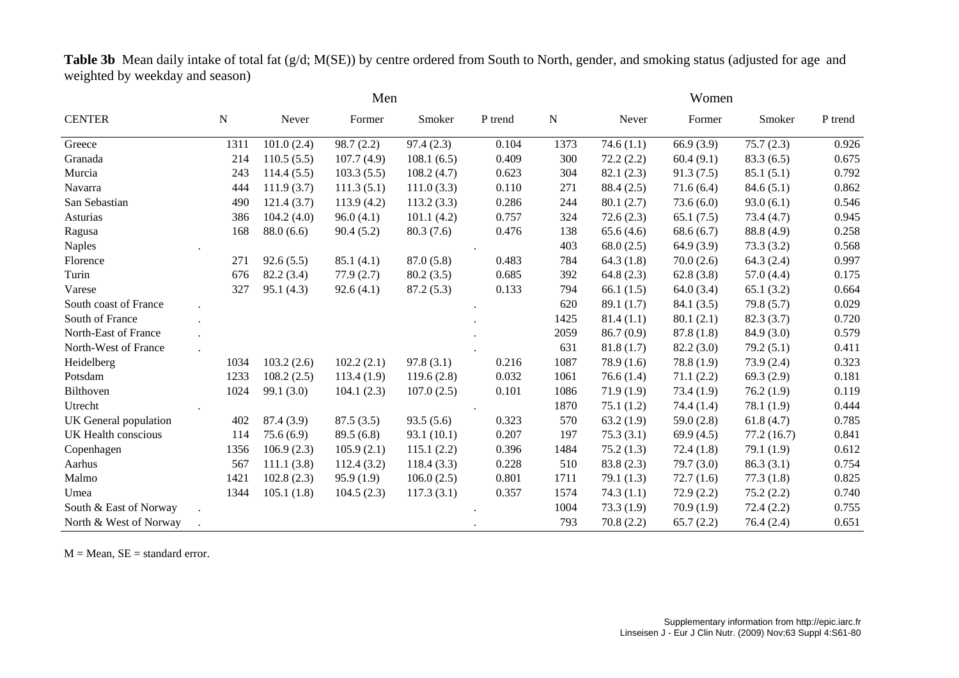Table 3b Mean daily intake of total fat (g/d; M(SE)) by centre ordered from South to North, gender, and smoking status (adjusted for age and weighted by weekday and season)

|                        |      |            | Men        |             |         |           |              | Women        |                         |         |
|------------------------|------|------------|------------|-------------|---------|-----------|--------------|--------------|-------------------------|---------|
| <b>CENTER</b>          | N    | Never      | Former     | Smoker      | P trend | ${\bf N}$ | Never        | Former       | Smoker                  | P trend |
| Greece                 | 1311 | 101.0(2.4) | 98.7(2.2)  | 97.4(2.3)   | 0.104   | 1373      | 74.6(1.1)    | 66.9 (3.9)   | $\overline{75.7}$ (2.3) | 0.926   |
| Granada                | 214  | 110.5(5.5) | 107.7(4.9) | 108.1(6.5)  | 0.409   | 300       | 72.2(2.2)    | 60.4(9.1)    | 83.3(6.5)               | 0.675   |
| Murcia                 | 243  | 114.4(5.5) | 103.3(5.5) | 108.2(4.7)  | 0.623   | 304       | 82.1(2.3)    | 91.3(7.5)    | 85.1(5.1)               | 0.792   |
| Navarra                | 444  | 111.9(3.7) | 111.3(5.1) | 111.0(3.3)  | 0.110   | 271       | 88.4 (2.5)   | 71.6(6.4)    | 84.6(5.1)               | 0.862   |
| San Sebastian          | 490  | 121.4(3.7) | 113.9(4.2) | 113.2(3.3)  | 0.286   | 244       | 80.1(2.7)    | 73.6(6.0)    | 93.0(6.1)               | 0.546   |
| Asturias               | 386  | 104.2(4.0) | 96.0(4.1)  | 101.1(4.2)  | 0.757   | 324       | 72.6(2.3)    | 65.1(7.5)    | 73.4(4.7)               | 0.945   |
| Ragusa                 | 168  | 88.0(6.6)  | 90.4(5.2)  | 80.3(7.6)   | 0.476   | 138       | 65.6(4.6)    | 68.6(6.7)    | 88.8 (4.9)              | 0.258   |
| <b>Naples</b>          |      |            |            |             |         | 403       | 68.0(2.5)    | 64.9(3.9)    | 73.3(3.2)               | 0.568   |
| Florence               | 271  | 92.6(5.5)  | 85.1(4.1)  | 87.0(5.8)   | 0.483   | 784       | 64.3(1.8)    | 70.0(2.6)    | 64.3(2.4)               | 0.997   |
| Turin                  | 676  | 82.2 (3.4) | 77.9(2.7)  | 80.2(3.5)   | 0.685   | 392       | 64.8(2.3)    | 62.8(3.8)    | 57.0(4.4)               | 0.175   |
| Varese                 | 327  | 95.1(4.3)  | 92.6(4.1)  | 87.2(5.3)   | 0.133   | 794       | 66.1 $(1.5)$ | 64.0(3.4)    | 65.1(3.2)               | 0.664   |
| South coast of France  |      |            |            |             |         | 620       | 89.1(1.7)    | 84.1 (3.5)   | 79.8(5.7)               | 0.029   |
| South of France        |      |            |            |             |         | 1425      | 81.4(1.1)    | 80.1(2.1)    | 82.3(3.7)               | 0.720   |
| North-East of France   |      |            |            |             |         | 2059      | 86.7(0.9)    | 87.8(1.8)    | 84.9(3.0)               | 0.579   |
| North-West of France   |      |            |            |             |         | 631       | 81.8(1.7)    | 82.2 (3.0)   | 79.2(5.1)               | 0.411   |
| Heidelberg             | 1034 | 103.2(2.6) | 102.2(2.1) | 97.8(3.1)   | 0.216   | 1087      | 78.9(1.6)    | 78.8(1.9)    | 73.9(2.4)               | 0.323   |
| Potsdam                | 1233 | 108.2(2.5) | 113.4(1.9) | 119.6(2.8)  | 0.032   | 1061      | 76.6(1.4)    | 71.1(2.2)    | 69.3(2.9)               | 0.181   |
| Bilthoven              | 1024 | 99.1(3.0)  | 104.1(2.3) | 107.0(2.5)  | 0.101   | 1086      | 71.9(1.9)    | 73.4(1.9)    | 76.2(1.9)               | 0.119   |
| Utrecht                |      |            |            |             |         | 1870      | 75.1(1.2)    | 74.4(1.4)    | 78.1(1.9)               | 0.444   |
| UK General population  | 402  | 87.4 (3.9) | 87.5(3.5)  | 93.5(5.6)   | 0.323   | 570       | 63.2(1.9)    | 59.0(2.8)    | 61.8(4.7)               | 0.785   |
| UK Health conscious    | 114  | 75.6(6.9)  | 89.5(6.8)  | 93.1 (10.1) | 0.207   | 197       | 75.3(3.1)    | 69.9 $(4.5)$ | 77.2(16.7)              | 0.841   |
| Copenhagen             | 1356 | 106.9(2.3) | 105.9(2.1) | 115.1(2.2)  | 0.396   | 1484      | 75.2(1.3)    | 72.4(1.8)    | 79.1(1.9)               | 0.612   |
| Aarhus                 | 567  | 111.1(3.8) | 112.4(3.2) | 118.4(3.3)  | 0.228   | 510       | 83.8(2.3)    | 79.7(3.0)    | 86.3(3.1)               | 0.754   |
| Malmo                  | 1421 | 102.8(2.3) | 95.9(1.9)  | 106.0(2.5)  | 0.801   | 1711      | 79.1(1.3)    | 72.7(1.6)    | 77.3(1.8)               | 0.825   |
| Umea                   | 1344 | 105.1(1.8) | 104.5(2.3) | 117.3(3.1)  | 0.357   | 1574      | 74.3(1.1)    | 72.9(2.2)    | 75.2(2.2)               | 0.740   |
| South & East of Norway |      |            |            |             |         | 1004      | 73.3(1.9)    | 70.9(1.9)    | 72.4(2.2)               | 0.755   |
| North & West of Norway |      |            |            |             |         | 793       | 70.8(2.2)    | 65.7(2.2)    | 76.4(2.4)               | 0.651   |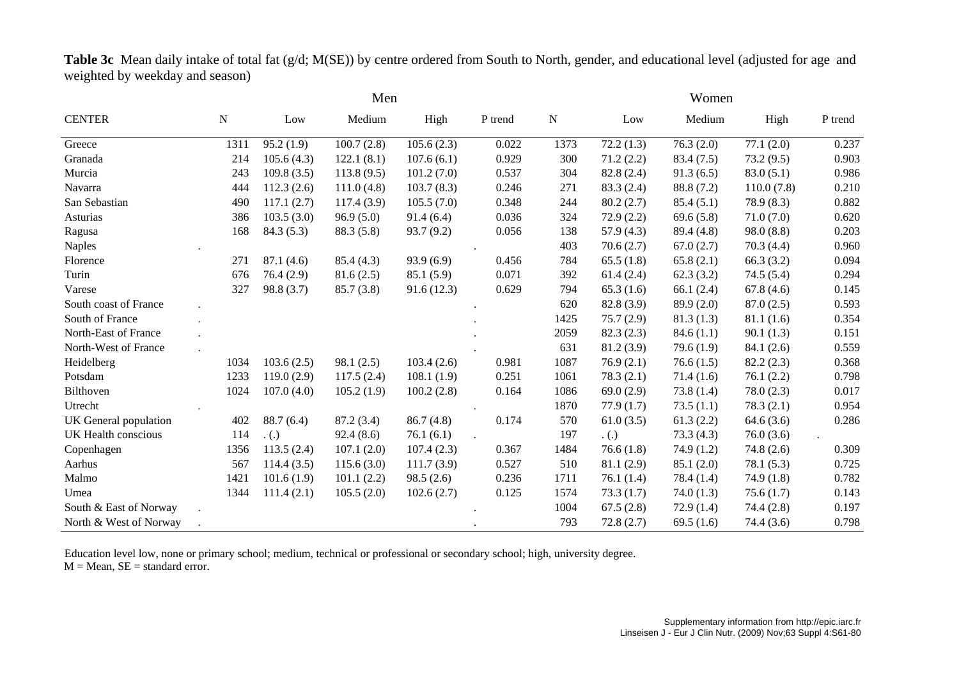**Table 3c** Mean daily intake of total fat (g/d; M(SE)) by centre ordered from South to North, gender, and educational level (adjusted for age and weighted by weekday and season)

|                        |           |            | Men        |            |         |             |              | Women        |            |         |
|------------------------|-----------|------------|------------|------------|---------|-------------|--------------|--------------|------------|---------|
| <b>CENTER</b>          | ${\bf N}$ | Low        | Medium     | High       | P trend | $\mathbf N$ | Low          | Medium       | High       | P trend |
| Greece                 | 1311      | 95.2(1.9)  | 100.7(2.8) | 105.6(2.3) | 0.022   | 1373        | 72.2(1.3)    | 76.3(2.0)    | 77.1(2.0)  | 0.237   |
| Granada                | 214       | 105.6(4.3) | 122.1(8.1) | 107.6(6.1) | 0.929   | 300         | 71.2(2.2)    | 83.4 (7.5)   | 73.2(9.5)  | 0.903   |
| Murcia                 | 243       | 109.8(3.5) | 113.8(9.5) | 101.2(7.0) | 0.537   | 304         | 82.8 (2.4)   | 91.3(6.5)    | 83.0(5.1)  | 0.986   |
| Navarra                | 444       | 112.3(2.6) | 111.0(4.8) | 103.7(8.3) | 0.246   | 271         | 83.3 (2.4)   | 88.8 (7.2)   | 110.0(7.8) | 0.210   |
| San Sebastian          | 490       | 117.1(2.7) | 117.4(3.9) | 105.5(7.0) | 0.348   | 244         | 80.2(2.7)    | 85.4(5.1)    | 78.9(8.3)  | 0.882   |
| Asturias               | 386       | 103.5(3.0) | 96.9(5.0)  | 91.4(6.4)  | 0.036   | 324         | 72.9(2.2)    | 69.6(5.8)    | 71.0(7.0)  | 0.620   |
| Ragusa                 | 168       | 84.3(5.3)  | 88.3 (5.8) | 93.7 (9.2) | 0.056   | 138         | 57.9(4.3)    | 89.4 (4.8)   | 98.0(8.8)  | 0.203   |
| <b>Naples</b>          |           |            |            |            |         | 403         | 70.6(2.7)    | 67.0(2.7)    | 70.3(4.4)  | 0.960   |
| Florence               | 271       | 87.1(4.6)  | 85.4(4.3)  | 93.9(6.9)  | 0.456   | 784         | 65.5(1.8)    | 65.8(2.1)    | 66.3(3.2)  | 0.094   |
| Turin                  | 676       | 76.4(2.9)  | 81.6(2.5)  | 85.1(5.9)  | 0.071   | 392         | 61.4(2.4)    | 62.3(3.2)    | 74.5(5.4)  | 0.294   |
| Varese                 | 327       | 98.8 (3.7) | 85.7(3.8)  | 91.6(12.3) | 0.629   | 794         | 65.3(1.6)    | 66.1 $(2.4)$ | 67.8(4.6)  | 0.145   |
| South coast of France  |           |            |            |            |         | 620         | 82.8 (3.9)   | 89.9(2.0)    | 87.0(2.5)  | 0.593   |
| South of France        |           |            |            |            |         | 1425        | 75.7(2.9)    | 81.3(1.3)    | 81.1(1.6)  | 0.354   |
| North-East of France   |           |            |            |            |         | 2059        | 82.3(2.3)    | 84.6(1.1)    | 90.1(1.3)  | 0.151   |
| North-West of France   |           |            |            |            |         | 631         | 81.2 (3.9)   | 79.6(1.9)    | 84.1(2.6)  | 0.559   |
| Heidelberg             | 1034      | 103.6(2.5) | 98.1(2.5)  | 103.4(2.6) | 0.981   | 1087        | 76.9(2.1)    | 76.6(1.5)    | 82.2(2.3)  | 0.368   |
| Potsdam                | 1233      | 119.0(2.9) | 117.5(2.4) | 108.1(1.9) | 0.251   | 1061        | 78.3(2.1)    | 71.4(1.6)    | 76.1(2.2)  | 0.798   |
| Bilthoven              | 1024      | 107.0(4.0) | 105.2(1.9) | 100.2(2.8) | 0.164   | 1086        | 69.0 $(2.9)$ | 73.8(1.4)    | 78.0(2.3)  | 0.017   |
| Utrecht                |           |            |            |            |         | 1870        | 77.9(1.7)    | 73.5(1.1)    | 78.3(2.1)  | 0.954   |
| UK General population  | 402       | 88.7 (6.4) | 87.2(3.4)  | 86.7(4.8)  | 0.174   | 570         | 61.0(3.5)    | 61.3(2.2)    | 64.6(3.6)  | 0.286   |
| UK Health conscious    | 114       | . (.)      | 92.4(8.6)  | 76.1(6.1)  |         | 197         | $\cdot$ (.)  | 73.3(4.3)    | 76.0(3.6)  |         |
| Copenhagen             | 1356      | 113.5(2.4) | 107.1(2.0) | 107.4(2.3) | 0.367   | 1484        | 76.6(1.8)    | 74.9(1.2)    | 74.8(2.6)  | 0.309   |
| Aarhus                 | 567       | 114.4(3.5) | 115.6(3.0) | 111.7(3.9) | 0.527   | 510         | 81.1(2.9)    | 85.1(2.0)    | 78.1 (5.3) | 0.725   |
| Malmo                  | 1421      | 101.6(1.9) | 101.1(2.2) | 98.5(2.6)  | 0.236   | 1711        | 76.1(1.4)    | 78.4(1.4)    | 74.9(1.8)  | 0.782   |
| Umea                   | 1344      | 111.4(2.1) | 105.5(2.0) | 102.6(2.7) | 0.125   | 1574        | 73.3(1.7)    | 74.0(1.3)    | 75.6(1.7)  | 0.143   |
| South & East of Norway |           |            |            |            |         | 1004        | 67.5(2.8)    | 72.9(1.4)    | 74.4(2.8)  | 0.197   |
| North & West of Norway |           |            |            |            |         | 793         | 72.8(2.7)    | 69.5 $(1.6)$ | 74.4 (3.6) | 0.798   |

Education level low, none or primary school; medium, technical or professional or secondary school; high, university degree.  $M = Mean$ ,  $SE = standard error$ .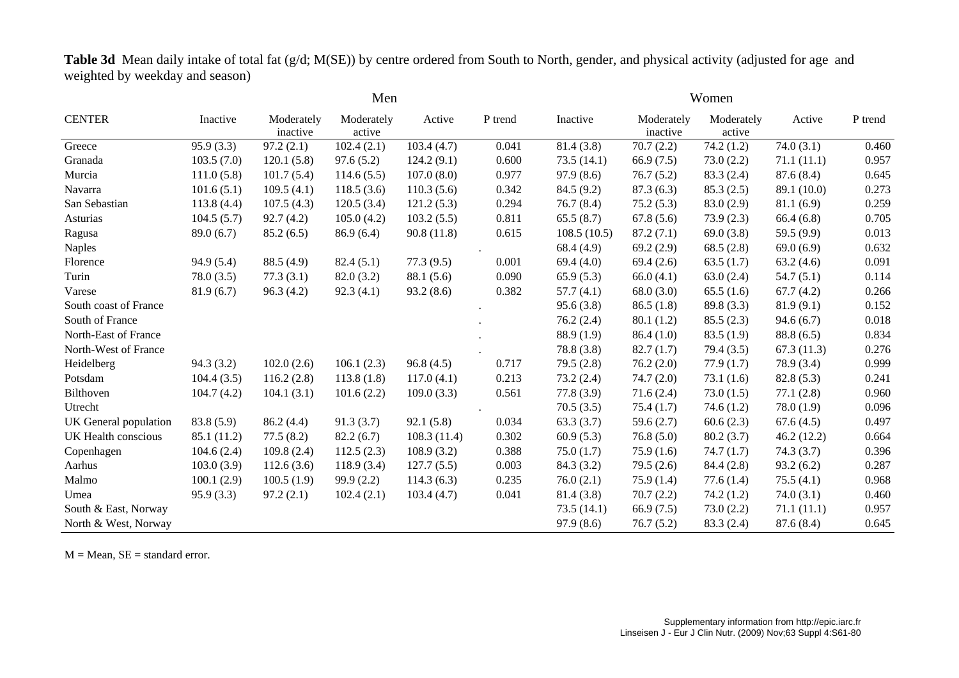**Table 3d** Mean daily intake of total fat (g/d; M(SE)) by centre ordered from South to North, gender, and physical activity (adjusted for age and weighted by weekday and season)

|                       |             |                        | Men                  |             |         |             |                        | Women                |             |         |
|-----------------------|-------------|------------------------|----------------------|-------------|---------|-------------|------------------------|----------------------|-------------|---------|
| <b>CENTER</b>         | Inactive    | Moderately<br>inactive | Moderately<br>active | Active      | P trend | Inactive    | Moderately<br>inactive | Moderately<br>active | Active      | P trend |
| Greece                | 95.9(3.3)   | 97.2(2.1)              | 102.4(2.1)           | 103.4(4.7)  | 0.041   | 81.4(3.8)   | 70.7(2.2)              | 74.2(1.2)            | 74.0(3.1)   | 0.460   |
| Granada               | 103.5(7.0)  | 120.1(5.8)             | 97.6(5.2)            | 124.2(9.1)  | 0.600   | 73.5(14.1)  | 66.9(7.5)              | 73.0(2.2)            | 71.1(11.1)  | 0.957   |
| Murcia                | 111.0(5.8)  | 101.7(5.4)             | 114.6(5.5)           | 107.0(8.0)  | 0.977   | 97.9(8.6)   | 76.7(5.2)              | 83.3 (2.4)           | 87.6 (8.4)  | 0.645   |
| Navarra               | 101.6(5.1)  | 109.5(4.1)             | 118.5(3.6)           | 110.3(5.6)  | 0.342   | 84.5(9.2)   | 87.3(6.3)              | 85.3(2.5)            | 89.1 (10.0) | 0.273   |
| San Sebastian         | 113.8(4.4)  | 107.5(4.3)             | 120.5(3.4)           | 121.2(5.3)  | 0.294   | 76.7(8.4)   | 75.2(5.3)              | 83.0 (2.9)           | 81.1(6.9)   | 0.259   |
| Asturias              | 104.5(5.7)  | 92.7(4.2)              | 105.0(4.2)           | 103.2(5.5)  | 0.811   | 65.5(8.7)   | 67.8(5.6)              | 73.9(2.3)            | 66.4(6.8)   | 0.705   |
| Ragusa                | 89.0(6.7)   | 85.2(6.5)              | 86.9(6.4)            | 90.8(11.8)  | 0.615   | 108.5(10.5) | 87.2(7.1)              | 69.0(3.8)            | 59.5 (9.9)  | 0.013   |
| <b>Naples</b>         |             |                        |                      |             |         | 68.4 (4.9)  | 69.2(2.9)              | 68.5(2.8)            | 69.0(6.9)   | 0.632   |
| Florence              | 94.9(5.4)   | 88.5 (4.9)             | 82.4(5.1)            | 77.3(9.5)   | 0.001   | 69.4(4.0)   | 69.4(2.6)              | 63.5(1.7)            | 63.2(4.6)   | 0.091   |
| Turin                 | 78.0(3.5)   | 77.3(3.1)              | 82.0(3.2)            | 88.1 (5.6)  | 0.090   | 65.9(5.3)   | 66.0(4.1)              | 63.0(2.4)            | 54.7(5.1)   | 0.114   |
| Varese                | 81.9(6.7)   | 96.3(4.2)              | 92.3(4.1)            | 93.2(8.6)   | 0.382   | 57.7(4.1)   | 68.0(3.0)              | 65.5(1.6)            | 67.7(4.2)   | 0.266   |
| South coast of France |             |                        |                      |             |         | 95.6(3.8)   | 86.5(1.8)              | 89.8(3.3)            | 81.9(9.1)   | 0.152   |
| South of France       |             |                        |                      |             |         | 76.2(2.4)   | 80.1(1.2)              | 85.5(2.3)            | 94.6(6.7)   | 0.018   |
| North-East of France  |             |                        |                      |             |         | 88.9 (1.9)  | 86.4(1.0)              | 83.5(1.9)            | 88.8 (6.5)  | 0.834   |
| North-West of France  |             |                        |                      |             |         | 78.8 (3.8)  | 82.7(1.7)              | 79.4(3.5)            | 67.3(11.3)  | 0.276   |
| Heidelberg            | 94.3(3.2)   | 102.0(2.6)             | 106.1(2.3)           | 96.8(4.5)   | 0.717   | 79.5(2.8)   | 76.2(2.0)              | 77.9(1.7)            | 78.9 (3.4)  | 0.999   |
| Potsdam               | 104.4(3.5)  | 116.2(2.8)             | 113.8(1.8)           | 117.0(4.1)  | 0.213   | 73.2(2.4)   | 74.7(2.0)              | 73.1(1.6)            | 82.8(5.3)   | 0.241   |
| Bilthoven             | 104.7(4.2)  | 104.1(3.1)             | 101.6(2.2)           | 109.0(3.3)  | 0.561   | 77.8(3.9)   | 71.6(2.4)              | 73.0(1.5)            | 77.1(2.8)   | 0.960   |
| Utrecht               |             |                        |                      |             |         | 70.5(3.5)   | 75.4(1.7)              | 74.6(1.2)            | 78.0(1.9)   | 0.096   |
| UK General population | 83.8(5.9)   | 86.2 (4.4)             | 91.3(3.7)            | 92.1(5.8)   | 0.034   | 63.3(3.7)   | 59.6(2.7)              | 60.6(2.3)            | 67.6(4.5)   | 0.497   |
| UK Health conscious   | 85.1 (11.2) | 77.5(8.2)              | 82.2(6.7)            | 108.3(11.4) | 0.302   | 60.9(5.3)   | 76.8(5.0)              | 80.2(3.7)            | 46.2(12.2)  | 0.664   |
| Copenhagen            | 104.6(2.4)  | 109.8(2.4)             | 112.5(2.3)           | 108.9(3.2)  | 0.388   | 75.0(1.7)   | 75.9(1.6)              | 74.7(1.7)            | 74.3(3.7)   | 0.396   |
| Aarhus                | 103.0(3.9)  | 112.6(3.6)             | 118.9(3.4)           | 127.7(5.5)  | 0.003   | 84.3 (3.2)  | 79.5(2.6)              | 84.4 (2.8)           | 93.2(6.2)   | 0.287   |
| Malmo                 | 100.1(2.9)  | 100.5(1.9)             | 99.9(2.2)            | 114.3(6.3)  | 0.235   | 76.0(2.1)   | 75.9(1.4)              | 77.6(1.4)            | 75.5(4.1)   | 0.968   |
| Umea                  | 95.9(3.3)   | 97.2(2.1)              | 102.4(2.1)           | 103.4(4.7)  | 0.041   | 81.4(3.8)   | 70.7(2.2)              | 74.2(1.2)            | 74.0(3.1)   | 0.460   |
| South & East, Norway  |             |                        |                      |             |         | 73.5(14.1)  | 66.9(7.5)              | 73.0(2.2)            | 71.1(11.1)  | 0.957   |
| North & West, Norway  |             |                        |                      |             |         | 97.9(8.6)   | 76.7(5.2)              | 83.3 (2.4)           | 87.6(8.4)   | 0.645   |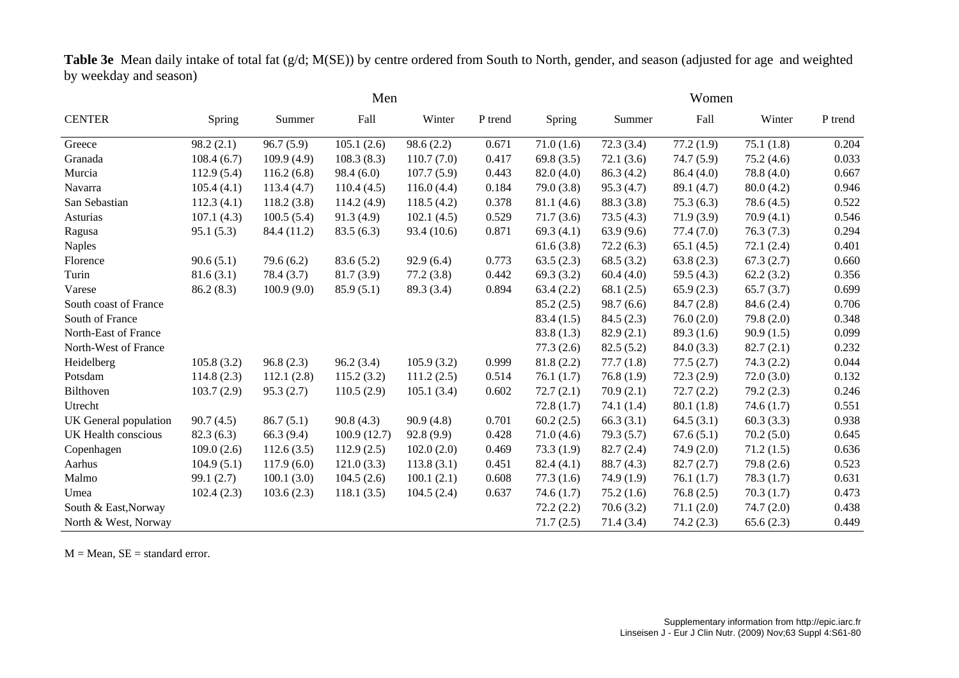**Table 3e** Mean daily intake of total fat (g/d; M(SE)) by centre ordered from South to North, gender, and season (adjusted for age and weighted by weekday and season)

|                       |            |             | Men         |             |         |              |              | Women      |            |         |
|-----------------------|------------|-------------|-------------|-------------|---------|--------------|--------------|------------|------------|---------|
| <b>CENTER</b>         | Spring     | Summer      | Fall        | Winter      | P trend | Spring       | Summer       | Fall       | Winter     | P trend |
| Greece                | 98.2(2.1)  | 96.7(5.9)   | 105.1(2.6)  | 98.6(2.2)   | 0.671   | 71.0(1.6)    | 72.3(3.4)    | 77.2(1.9)  | 75.1(1.8)  | 0.204   |
| Granada               | 108.4(6.7) | 109.9(4.9)  | 108.3(8.3)  | 110.7(7.0)  | 0.417   | 69.8(3.5)    | 72.1(3.6)    | 74.7(5.9)  | 75.2(4.6)  | 0.033   |
| Murcia                | 112.9(5.4) | 116.2(6.8)  | 98.4(6.0)   | 107.7(5.9)  | 0.443   | 82.0(4.0)    | 86.3 (4.2)   | 86.4(4.0)  | 78.8 (4.0) | 0.667   |
| Navarra               | 105.4(4.1) | 113.4(4.7)  | 110.4(4.5)  | 116.0(4.4)  | 0.184   | 79.0(3.8)    | 95.3(4.7)    | 89.1 (4.7) | 80.0(4.2)  | 0.946   |
| San Sebastian         | 112.3(4.1) | 118.2(3.8)  | 114.2(4.9)  | 118.5(4.2)  | 0.378   | 81.1(4.6)    | 88.3 (3.8)   | 75.3(6.3)  | 78.6(4.5)  | 0.522   |
| Asturias              | 107.1(4.3) | 100.5(5.4)  | 91.3(4.9)   | 102.1(4.5)  | 0.529   | 71.7(3.6)    | 73.5(4.3)    | 71.9(3.9)  | 70.9(4.1)  | 0.546   |
| Ragusa                | 95.1(5.3)  | 84.4 (11.2) | 83.5(6.3)   | 93.4 (10.6) | 0.871   | 69.3 $(4.1)$ | 63.9(9.6)    | 77.4(7.0)  | 76.3(7.3)  | 0.294   |
| <b>Naples</b>         |            |             |             |             |         | 61.6(3.8)    | 72.2(6.3)    | 65.1(4.5)  | 72.1(2.4)  | 0.401   |
| Florence              | 90.6(5.1)  | 79.6(6.2)   | 83.6(5.2)   | 92.9(6.4)   | 0.773   | 63.5(2.3)    | 68.5(3.2)    | 63.8(2.3)  | 67.3(2.7)  | 0.660   |
| Turin                 | 81.6(3.1)  | 78.4 (3.7)  | 81.7(3.9)   | 77.2(3.8)   | 0.442   | 69.3(3.2)    | 60.4(4.0)    | 59.5(4.3)  | 62.2(3.2)  | 0.356   |
| Varese                | 86.2(8.3)  | 100.9(9.0)  | 85.9(5.1)   | 89.3 (3.4)  | 0.894   | 63.4(2.2)    | 68.1 $(2.5)$ | 65.9(2.3)  | 65.7(3.7)  | 0.699   |
| South coast of France |            |             |             |             |         | 85.2(2.5)    | 98.7(6.6)    | 84.7(2.8)  | 84.6(2.4)  | 0.706   |
| South of France       |            |             |             |             |         | 83.4(1.5)    | 84.5(2.3)    | 76.0(2.0)  | 79.8(2.0)  | 0.348   |
| North-East of France  |            |             |             |             |         | 83.8(1.3)    | 82.9(2.1)    | 89.3(1.6)  | 90.9(1.5)  | 0.099   |
| North-West of France  |            |             |             |             |         | 77.3(2.6)    | 82.5(5.2)    | 84.0(3.3)  | 82.7(2.1)  | 0.232   |
| Heidelberg            | 105.8(3.2) | 96.8(2.3)   | 96.2(3.4)   | 105.9(3.2)  | 0.999   | 81.8(2.2)    | 77.7(1.8)    | 77.5(2.7)  | 74.3(2.2)  | 0.044   |
| Potsdam               | 114.8(2.3) | 112.1(2.8)  | 115.2(3.2)  | 111.2(2.5)  | 0.514   | 76.1(1.7)    | 76.8(1.9)    | 72.3(2.9)  | 72.0(3.0)  | 0.132   |
| Bilthoven             | 103.7(2.9) | 95.3(2.7)   | 110.5(2.9)  | 105.1(3.4)  | 0.602   | 72.7(2.1)    | 70.9(2.1)    | 72.7(2.2)  | 79.2(2.3)  | 0.246   |
| Utrecht               |            |             |             |             |         | 72.8(1.7)    | 74.1(1.4)    | 80.1(1.8)  | 74.6(1.7)  | 0.551   |
| UK General population | 90.7(4.5)  | 86.7(5.1)   | 90.8(4.3)   | 90.9(4.8)   | 0.701   | 60.2(2.5)    | 66.3(3.1)    | 64.5(3.1)  | 60.3(3.3)  | 0.938   |
| UK Health conscious   | 82.3(6.3)  | 66.3 (9.4)  | 100.9(12.7) | 92.8(9.9)   | 0.428   | 71.0(4.6)    | 79.3(5.7)    | 67.6(5.1)  | 70.2(5.0)  | 0.645   |
| Copenhagen            | 109.0(2.6) | 112.6(3.5)  | 112.9(2.5)  | 102.0(2.0)  | 0.469   | 73.3(1.9)    | 82.7(2.4)    | 74.9(2.0)  | 71.2(1.5)  | 0.636   |
| Aarhus                | 104.9(5.1) | 117.9(6.0)  | 121.0(3.3)  | 113.8(3.1)  | 0.451   | 82.4(4.1)    | 88.7 (4.3)   | 82.7(2.7)  | 79.8(2.6)  | 0.523   |
| Malmo                 | 99.1(2.7)  | 100.1(3.0)  | 104.5(2.6)  | 100.1(2.1)  | 0.608   | 77.3(1.6)    | 74.9(1.9)    | 76.1(1.7)  | 78.3(1.7)  | 0.631   |
| Umea                  | 102.4(2.3) | 103.6(2.3)  | 118.1(3.5)  | 104.5(2.4)  | 0.637   | 74.6(1.7)    | 75.2(1.6)    | 76.8(2.5)  | 70.3(1.7)  | 0.473   |
| South & East, Norway  |            |             |             |             |         | 72.2(2.2)    | 70.6(3.2)    | 71.1(2.0)  | 74.7(2.0)  | 0.438   |
| North & West, Norway  |            |             |             |             |         | 71.7(2.5)    | 71.4(3.4)    | 74.2(2.3)  | 65.6(2.3)  | 0.449   |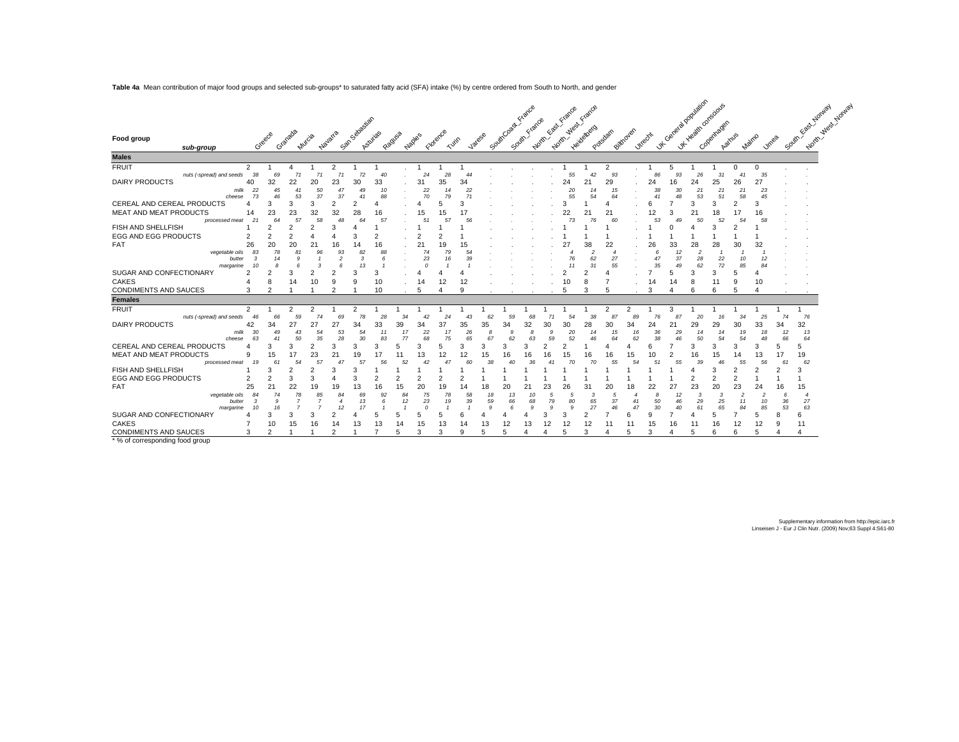**Table 4a** Mean contribution of major food groups and selected sub-groups\* to saturated fatty acid (SFA) intake (%) by centre ordered from South to North, and gender

|                                |                     |                |                |          |                          |               |          |        |                |                                                   |          |        |                    |        |                                  | France            |                |                |              |                |                                            |            |             |                       |    |                                       |  |
|--------------------------------|---------------------|----------------|----------------|----------|--------------------------|---------------|----------|--------|----------------|---------------------------------------------------|----------|--------|--------------------|--------|----------------------------------|-------------------|----------------|----------------|--------------|----------------|--------------------------------------------|------------|-------------|-----------------------|----|---------------------------------------|--|
| <b>Food group</b><br>sub-group |                     | Greece         | Granada        | Murcia   | Navarra                  | San Sabastian | Asturias | Ragusa | Naples         | Florence<br>$\prec_{\mathcal{A}_{\mathcal{U}_U}}$ |          | Varese | South Coast France | France | Montr East France<br>North West. | <b>Heidelberg</b> | Potsdam        | Bilthoven      | Jirrecht     |                | Ly Casteral doguator<br>Ly Haalth oneclous | Copenhagen | Aamus       | Mairro<br><b>Umea</b> |    | South East Mortal<br>Mary West Norway |  |
| <b>Males</b>                   |                     |                |                |          |                          |               |          |        |                |                                                   |          |        |                    |        |                                  |                   |                |                |              |                |                                            |            |             |                       |    |                                       |  |
| <b>FRUIT</b>                   | 2                   |                |                |          | $\overline{c}$           |               |          |        |                |                                                   |          |        |                    |        |                                  |                   | 2              |                |              | 5              |                                            |            | $\Omega$    | 0                     |    |                                       |  |
| nuts (-spread) and seeds       |                     |                |                |          |                          |               |          |        |                | 28                                                | $\Delta$ |        |                    |        |                                  |                   | 93             |                |              |                |                                            |            |             | 35                    |    |                                       |  |
| <b>DAIRY PRODUCTS</b>          |                     | 32             |                |          | 23                       | 30            | 33       |        |                |                                                   | 34       |        |                    |        |                                  |                   | 29             |                |              | 16             | 24                                         | 25         | 26          | 27                    |    |                                       |  |
|                                | 22<br>milk          | 45             | 41             | 50       | 47                       |               |          |        | 22             | 14                                                | 22       |        |                    |        |                                  |                   |                |                | 38           | 30             | $\overline{c}$                             |            | $2^{\circ}$ | 23                    |    |                                       |  |
| CEREAL AND CEREAL PRODUCTS     | cheese              |                | 53             | 37       | 37                       |               | 88       |        | 70             | 79                                                | 71       |        |                    |        |                                  | 54                | 64             |                | $\mathbf{A}$ | $\mathbf{A}$ s | 3                                          | 3          | 58          | 45<br>3               |    |                                       |  |
| MEAT AND MEAT PRODUCTS         |                     |                |                |          |                          |               |          |        |                |                                                   |          |        |                    |        |                                  |                   |                |                |              |                |                                            |            | 17          |                       |    |                                       |  |
| processed meat                 | 14<br>$\mathcal{P}$ | 23             | 23<br>57       | 32<br>58 | 32<br>48                 | 28<br>ĥ4      | 16       |        |                |                                                   | 56       |        |                    |        |                                  |                   | 2.<br>60       |                | 53           | 49             | 21<br>5(                                   | 18<br>52   | Б,          | 16                    |    |                                       |  |
| FISH AND SHELLFISH             |                     |                |                |          |                          |               |          |        |                |                                                   |          |        |                    |        |                                  |                   |                |                |              |                |                                            |            |             |                       |    |                                       |  |
| <b>EGG AND EGG PRODUCTS</b>    |                     |                | $\overline{2}$ |          |                          | 3             | 2        |        |                |                                                   |          |        |                    |        |                                  |                   |                |                |              |                |                                            |            |             |                       |    |                                       |  |
| <b>FAT</b>                     | 26                  | 20             | 20             |          | 16                       | 14            | 16       |        | $2^{\circ}$    |                                                   |          |        |                    |        |                                  | 38                | 22             |                | 26           | 33             | 28                                         | 28         | 30          | 32                    |    |                                       |  |
| vegetable oils                 | 83                  | 78             | 8              | 96       | 93                       | 82            | 88       |        | 74             | 79                                                |          |        |                    |        |                                  |                   | 4              |                | f            | 12             |                                            |            |             |                       |    |                                       |  |
|                                | butter<br>3         |                |                |          | $\overline{\phantom{0}}$ |               | 6        |        | 23             | 16                                                | 39       |        |                    |        |                                  | 62                | 27             |                | 47           | 37             | 28                                         | 22         | 10          | 12                    |    |                                       |  |
|                                | margarine           |                |                |          |                          |               |          |        |                |                                                   |          |        |                    |        |                                  | 31                | 55             |                | 35           | 49             | 62                                         | 72         | 85          | 84                    |    |                                       |  |
| SUGAR AND CONFECTIONARY        |                     |                |                |          |                          |               | 3        |        |                |                                                   |          |        |                    |        |                                  |                   |                |                |              |                |                                            |            |             |                       |    |                                       |  |
| <b>CAKES</b>                   |                     |                |                |          |                          | 9             | 10       |        |                |                                                   | 12       |        |                    |        |                                  |                   |                |                |              |                | 8                                          |            |             |                       |    |                                       |  |
| <b>CONDIMENTS AND SAUCES</b>   |                     |                |                |          |                          |               | 10       |        | 5              |                                                   |          |        |                    |        |                                  |                   | 5              |                | З            |                |                                            | F          |             |                       |    |                                       |  |
| <b>Females</b>                 |                     |                |                |          |                          |               |          |        |                |                                                   |          |        |                    |        |                                  |                   |                |                |              |                |                                            |            |             |                       |    |                                       |  |
| <b>FRUIT</b>                   | $\overline{2}$      |                | $\overline{2}$ | 2        |                          | 2             |          |        |                |                                                   |          |        |                    |        |                                  |                   | $\overline{2}$ | $\overline{2}$ |              | 3              |                                            |            |             |                       |    |                                       |  |
| nuts (-spread) and seeds       |                     |                |                |          |                          |               |          |        |                |                                                   |          |        |                    |        |                                  |                   |                |                |              |                |                                            | 16         | 34          | 25                    | 74 | 76                                    |  |
| <b>DAIRY PRODUCTS</b>          |                     |                | 2              |          | 27                       | 34            | 33       | Зċ     |                |                                                   |          |        |                    |        |                                  |                   | 30             |                |              |                |                                            | 29         | 30          | 33                    |    | 32                                    |  |
|                                | milk<br>30          | 49             | 43             | 54       | 53                       | 54            |          | 17     | 22             | 17                                                | 26       |        |                    |        |                                  |                   |                | 16             | 36           | 29             |                                            |            |             |                       | 12 | 13                                    |  |
| CEREAL AND CEREAL PRODUCTS     | cheese              |                | 50             | 35       | 28                       |               | 83       | 77     | 68             | 75                                                | 65       |        |                    |        |                                  |                   |                |                | 38           | 46             |                                            |            |             |                       | 66 | 64<br>5                               |  |
| MEAT AND MEAT PRODUCTS         |                     |                |                |          | 2.                       |               |          |        |                |                                                   |          |        |                    |        |                                  |                   |                |                |              |                |                                            |            |             |                       |    | 19                                    |  |
| processed meat                 |                     |                | 5.             | 57       | 4                        | 5             |          |        |                |                                                   |          |        |                    |        |                                  |                   |                |                |              | 55             | 39                                         | 15         | 55          | 56                    | 6  | 62                                    |  |
| FISH AND SHELLFISH             |                     |                |                |          |                          | з             |          |        |                |                                                   |          |        |                    |        |                                  |                   |                |                |              |                |                                            |            |             |                       |    |                                       |  |
| <b>EGG AND EGG PRODUCTS</b>    |                     |                | 3              | З        |                          | 3             | 2        |        | $\overline{2}$ | 2                                                 |          |        |                    |        |                                  |                   |                |                |              |                |                                            | 2          |             |                       |    |                                       |  |
| <b>FAT</b>                     | 25                  | 21             | 22             | 19       | 19                       | 13            | 16       | 15     | 20             | 19                                                | 14       |        |                    |        |                                  |                   |                |                |              | 27             | 23                                         | 20         | 23          | 24                    | 16 | 15                                    |  |
| vegetable oils                 |                     | 74             | 78             | 85       | 84                       | 69            | 92       |        | 75             | 78                                                | 58       | 18     |                    |        |                                  |                   |                |                | 8            | 12             | 3                                          |            |             |                       |    | $\overline{4}$                        |  |
|                                | butter              |                |                |          |                          | 13            |          | 12     | 23             | 19                                                | 39       | 59     |                    |        |                                  | 65                | 37             | 4              | 50           | 46             | 29                                         | 25         | 11          | 10                    | 36 | 27                                    |  |
|                                | margarine           |                |                |          |                          |               |          |        |                |                                                   |          |        |                    |        |                                  | 27                |                |                | 30           |                |                                            |            |             | 85                    | 53 | 63                                    |  |
| SUGAR AND CONFECTIONARY        |                     |                |                |          |                          |               |          |        |                |                                                   |          |        |                    |        |                                  |                   |                |                |              |                |                                            |            |             |                       |    | h                                     |  |
| <b>CAKES</b>                   |                     | 10             | 15             | 16       |                          | 13            | 13       | 14     | 15             | 13                                                |          | 13     | 12                 | 13     |                                  | 12                |                |                | 15           | 16             |                                            | 16         | 12          | 12                    | 9  | 11                                    |  |
| <b>CONDIMENTS AND SAUCES</b>   | 3                   | $\overline{2}$ |                |          | $\overline{2}$           |               |          |        | 3              | 3                                                 | g        | 5      | 5                  |        | 5                                | 3                 |                |                | 3            |                | 5                                          | ĥ          |             | 5                     |    |                                       |  |

\* % of corresponding food group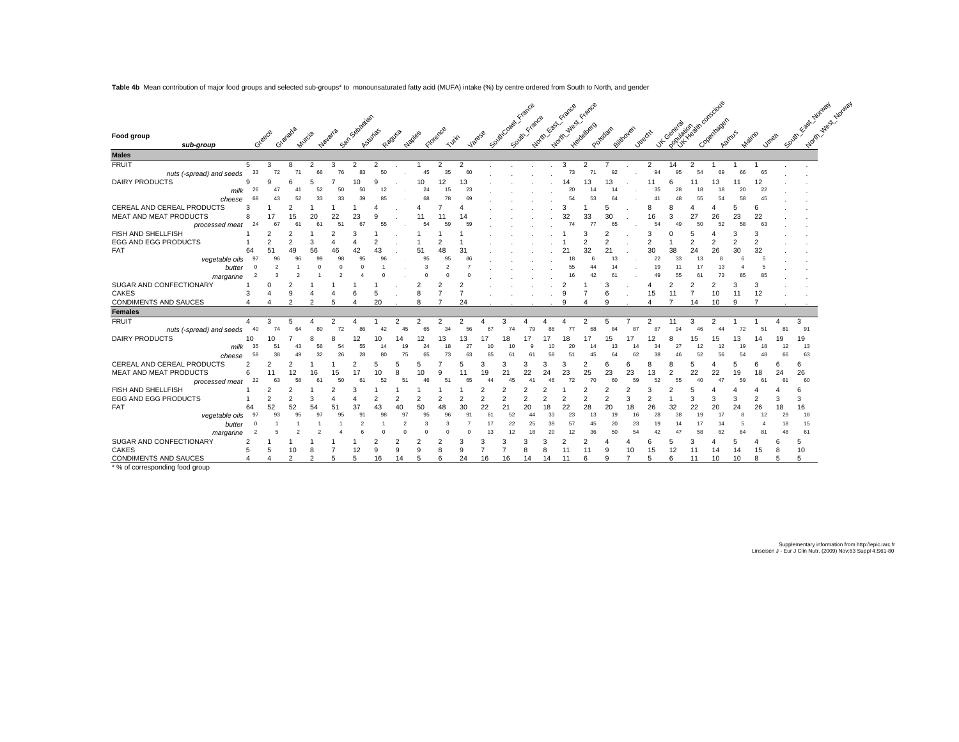**Table 4b** Mean contribution of major food groups and selected sub-groups\* to monounsaturated fatty acid (MUFA) intake (%) by centre ordered from South to North, and gender

| Food group<br>sub-group     |          | Greece | Granada | Murcia | Navarra | San Sabastian  | Asturias       | R-agusa | Naples | Florence<br>Turn |                | Vatese | South Coast France | South France |    | North Fast France | North Viest France | Potedam | Bilthoven | <b>Jurecht</b> |    |                | Little Marian Diversions | Aarhus | Malmo    | <b>VIMea</b> | South East Norwal<br>Mary Village Horway |
|-----------------------------|----------|--------|---------|--------|---------|----------------|----------------|---------|--------|------------------|----------------|--------|--------------------|--------------|----|-------------------|--------------------|---------|-----------|----------------|----|----------------|--------------------------|--------|----------|--------------|------------------------------------------|
| <b>Males</b>                |          |        |         |        |         |                |                |         |        |                  |                |        |                    |              |    |                   |                    |         |           |                |    |                |                          |        |          |              |                                          |
| <b>FRUIT</b>                | 5        | з      |         |        |         | $\overline{c}$ | $\overline{2}$ |         |        | $\overline{2}$   | $\overline{2}$ |        |                    |              |    | 3                 |                    |         |           | 2              | 14 | $\overline{2}$ |                          |        |          |              |                                          |
| nuts (-spread) and seeds    | 33       | 72     |         |        |         |                |                |         |        | 35               | 60             |        |                    |              |    |                   |                    | 92      |           |                | 95 |                |                          |        | 65       |              |                                          |
| <b>DAIRY PRODUCTS</b>       | 26       |        |         | 52     |         |                |                |         |        | 15               | 13<br>23       |        |                    |              |    |                   |                    | 13      |           |                | 28 |                |                          | 20     | 12<br>22 |              |                                          |
| milk<br>cheese              |          |        |         | 33     |         |                |                |         |        |                  | 69             |        |                    |              |    |                   |                    |         |           |                |    |                |                          |        | 45       |              |                                          |
| CEREAL AND CEREAL PRODUCTS  |          |        |         |        |         |                |                |         |        |                  |                |        |                    |              |    |                   |                    |         |           |                |    |                |                          | 5      |          |              |                                          |
| MEAT AND MEAT PRODUCTS      |          |        |         |        |         |                |                |         |        |                  |                |        |                    |              |    |                   | 33                 |         |           |                |    | 27             | 26                       | 23     | 22       |              |                                          |
| processed meat              | 24       |        |         |        | 51      |                |                |         |        | 59               | 59             |        |                    |              |    |                   |                    |         |           |                |    | 50             | 52                       | 58     | 63       |              |                                          |
| FISH AND SHELLFISH          |          |        |         |        |         |                |                |         |        |                  |                |        |                    |              |    |                   |                    |         |           |                |    |                |                          |        |          |              |                                          |
| <b>EGG AND EGG PRODUCTS</b> |          |        |         |        |         |                |                |         |        |                  |                |        |                    |              |    |                   |                    |         |           |                |    |                |                          |        |          |              |                                          |
| FAT                         | 64       | 51     |         | 56     |         |                |                |         | 51     |                  | $\overline{3}$ |        |                    |              |    |                   | 32                 | 21      |           | 30             | 38 | 24             | 26                       | 30     | 32       |              |                                          |
| vegetable oils              |          |        | 96      | 99     | 98      |                |                |         |        | 95               | 86             |        |                    |              |    |                   |                    |         |           | 22             | 33 | 13             |                          |        |          |              |                                          |
| butter                      |          |        |         |        |         |                |                |         |        |                  |                |        |                    |              |    |                   |                    |         |           | 19             |    |                |                          |        | 5        |              |                                          |
| margarine                   |          |        |         |        |         |                |                |         |        |                  |                |        |                    |              |    |                   |                    |         |           |                | 55 |                |                          |        | 85       |              |                                          |
| SUGAR AND CONFECTIONARY     |          |        |         |        |         |                |                |         |        |                  |                |        |                    |              |    |                   |                    |         |           |                |    |                |                          | з      | 3        |              |                                          |
| CAKES                       | 3        |        | 9       |        |         |                | 5              |         | 8      |                  |                |        |                    |              |    |                   |                    |         |           | 15             | 11 |                | 10                       | 11     | 12       |              |                                          |
| CONDIMENTS AND SAUCES       |          |        |         |        |         |                | 20             |         |        |                  | 24             |        |                    |              |    |                   |                    |         |           |                |    | 14             | 10                       | 9      |          |              |                                          |
| <b>Females</b>              |          |        |         |        |         |                |                |         |        |                  |                |        |                    |              |    |                   |                    |         |           |                |    |                |                          |        |          |              |                                          |
| <b>FRUIT</b>                | 4        | 3      | 5       |        |         |                |                |         |        |                  |                |        |                    |              |    |                   |                    |         |           |                |    |                |                          |        |          |              | 3                                        |
| nuts (-spread) and seeds    | 40       |        |         |        |         |                |                |         |        |                  |                |        |                    |              |    |                   |                    |         |           |                |    |                |                          |        |          |              | 91                                       |
| <b>DAIRY PRODUCTS</b>       | 10<br>35 |        |         |        |         |                |                |         |        |                  |                |        |                    |              |    |                   |                    |         |           |                |    |                |                          |        |          |              | 19<br>13                                 |
| milk<br>cheese              |          |        |         |        |         |                |                |         |        |                  |                |        |                    |              |    |                   |                    |         |           |                |    |                |                          |        |          |              | 63                                       |
| CEREAL AND CEREAL PRODUCTS  |          |        |         |        |         |                |                |         |        |                  |                |        |                    |              |    |                   |                    |         |           |                |    |                |                          |        |          |              |                                          |
| MEAT AND MEAT PRODUCTS      | 6        |        |         |        |         |                |                |         |        |                  |                |        |                    |              |    |                   |                    |         |           |                |    |                | 22                       | 19     | 18       | 24           | 26                                       |
| processed meat              | 22       |        |         |        |         |                |                |         |        |                  |                |        |                    |              |    |                   |                    |         |           |                |    |                |                          |        |          |              | 60                                       |
| FISH AND SHELLFISH          |          |        |         |        |         |                |                |         |        |                  |                |        |                    |              |    |                   |                    |         |           |                |    |                |                          |        |          |              | 6                                        |
| <b>EGG AND EGG PRODUCTS</b> |          |        |         |        |         |                |                |         |        |                  |                |        |                    |              |    |                   |                    |         |           | $\overline{2}$ |    |                |                          |        |          | 3            | 3                                        |
| FAT                         |          | 52     |         |        |         |                |                |         |        |                  |                |        |                    |              |    |                   |                    |         |           | 26             | 32 | 22             | 20                       |        | 26       |              | 16                                       |
| vegetable oils              | 9        |        |         |        |         |                |                | g.      |        |                  |                |        |                    |              |    | 23                | 13                 |         |           | 28             | 38 | 19             |                          |        |          |              | 18                                       |
| butter                      |          |        |         |        |         |                |                |         |        |                  |                |        | 22                 |              |    |                   |                    | 20      | 23        |                |    |                |                          |        |          |              | 15                                       |
| margarine                   |          |        |         |        |         |                |                |         |        |                  |                |        |                    |              |    |                   |                    |         |           |                |    |                |                          |        |          |              | 61                                       |
| SUGAR AND CONFECTIONARY     |          |        |         |        |         |                |                |         |        |                  |                |        |                    |              |    |                   |                    |         |           |                |    |                |                          |        |          |              | 5                                        |
| CAKES                       |          |        |         |        |         | 12             | 9              |         |        | 8                | 9              |        |                    |              |    |                   |                    |         | 10        | 15             | 12 |                | 14                       | 14     | 15       | 8            | 10                                       |
| CONDIMENTS AND SAUCES       |          |        | ົ       |        |         | 5              | 16             | 14      | 5      | 6                | 24             | 16     | 16                 | 14           | 14 | 11                | 6                  |         |           |                | 6  | 11             | 10                       | 10     | 8        | 5            | 5                                        |

\* % of corresponding food group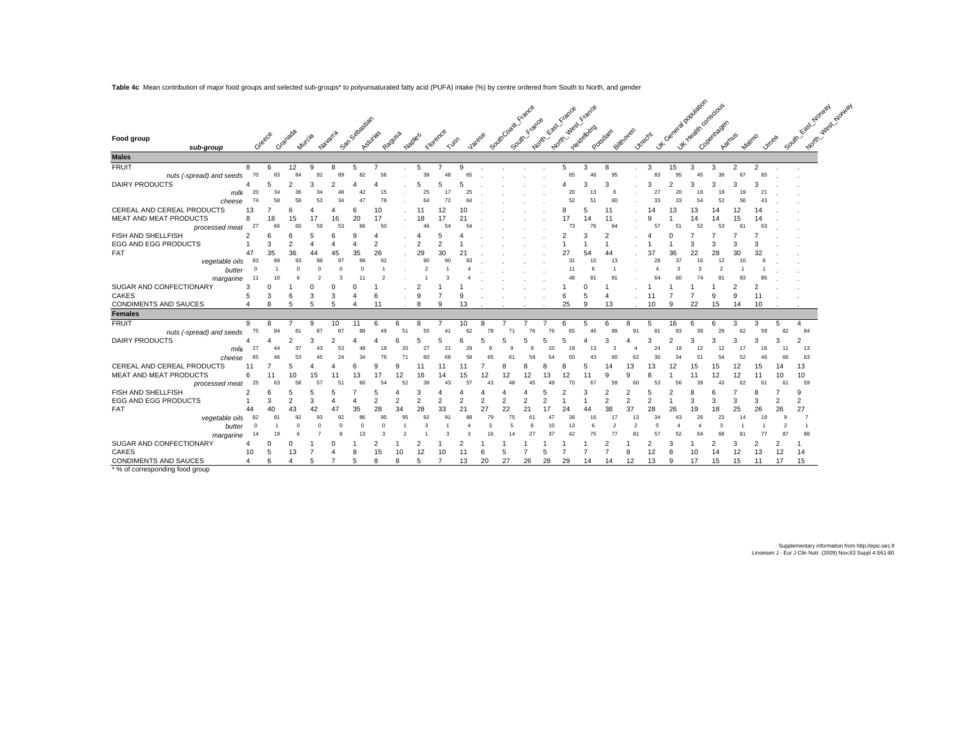**Table 4c** Mean contribution of major food groups and selected sub-groups\* to polyunsaturated fatty acid (PUFA) intake (%) by centre ordered from South to North, and gender

|                                            |          |        |                |              |          |              |                |         |                |                  |    |        | South Coast France |              |    | Montage Fraces       |   |         |                |                |          | Ly Canada dopulation<br>Ly Hagitto onegious |            |                |                       |    | Months Made Horway<br>South Fast Montage |
|--------------------------------------------|----------|--------|----------------|--------------|----------|--------------|----------------|---------|----------------|------------------|----|--------|--------------------|--------------|----|----------------------|---|---------|----------------|----------------|----------|---------------------------------------------|------------|----------------|-----------------------|----|------------------------------------------|
|                                            |          |        |                |              |          |              |                |         |                |                  |    |        |                    |              |    |                      |   |         |                |                |          |                                             |            |                |                       |    |                                          |
|                                            |          |        |                |              |          |              |                |         |                |                  |    |        |                    |              |    |                      |   |         |                |                |          |                                             |            |                |                       |    |                                          |
| Food group<br>sub-group                    |          | Greece | Granada        | Murcia       | Navarra  | San Sabasian | Asturias       | R-agusa | Naples         | Florence<br>Tump |    | Vatese |                    | South France |    | Montreage Engrance   |   | Potsdam | Bilthoven      | <b>Jurecht</b> |          |                                             | Copenhagen | Aamus          | Malmo<br><b>VIMea</b> |    |                                          |
| <b>Males</b>                               |          |        |                |              |          |              |                |         |                |                  |    |        |                    |              |    |                      |   |         |                |                |          |                                             |            |                |                       |    |                                          |
| <b>FRUIT</b>                               | 8        | 6      | 12             | c            |          | 5            |                |         | 5              |                  | 9  |        |                    |              |    | 5                    | 3 | 8       |                | 3              | 15       | 3                                           | 3          | $\overline{2}$ |                       |    |                                          |
| nuts (-spread) and seeds                   | 70       | 83     | 84             | 92           | 8S       |              | 56             |         |                |                  |    |        |                    |              |    | 65                   |   | 95      |                | 83             | 95       | 45                                          | 36         |                |                       |    |                                          |
| <b>DAIRY PRODUCTS</b>                      |          |        |                |              |          |              |                |         |                |                  |    |        |                    |              |    |                      |   |         |                |                |          |                                             |            |                |                       |    |                                          |
| milk                                       | 20       |        |                |              |          |              | 15             |         |                |                  |    |        |                    |              |    | 20                   |   |         |                |                |          |                                             |            |                |                       |    |                                          |
| cheese                                     |          |        |                | 53           |          |              |                |         |                |                  |    |        |                    |              |    |                      |   | 60      |                |                | 33       |                                             |            |                |                       |    |                                          |
| CEREAL AND CEREAL PRODUCTS                 | 13       |        |                |              |          |              | 10             |         |                |                  |    |        |                    |              |    |                      |   | 11      |                |                |          | 13                                          |            |                |                       |    |                                          |
| MEAT AND MEAT PRODUCTS                     | 8        | 1۶     |                |              |          | 20           | 17             |         | 18             |                  |    |        |                    |              |    |                      |   | 11      |                |                |          |                                             | 14         | 15             |                       |    |                                          |
| processed meat                             | 27       |        |                |              | 51       |              |                |         |                | 54               |    |        |                    |              |    | 73                   |   | 64      |                |                |          | 52                                          | 53         |                |                       |    |                                          |
| FISH AND SHELLFISH                         |          |        |                |              |          |              |                |         |                |                  |    |        |                    |              |    |                      |   |         |                |                |          |                                             |            |                |                       |    |                                          |
| <b>EGG AND EGG PRODUCTS</b>                |          | 3      | $\overline{2}$ |              |          |              | $\overline{2}$ |         |                | $\overline{2}$   |    |        |                    |              |    |                      |   |         |                |                |          |                                             | 3          |                |                       |    |                                          |
| FAT                                        | 47<br>83 | 35     | 36<br>93       |              | 45<br>97 | 35<br>89     | 26             |         | 29             | 30               |    |        |                    |              |    | 27<br>3 <sup>1</sup> |   |         |                | 28             | 36<br>37 | 22<br>16                                    | 28<br>12   | 30             |                       |    |                                          |
| vegetable oils                             |          | 89     |                | 98           |          | C            |                |         |                |                  |    |        |                    |              |    |                      |   | 13      |                |                |          | 3                                           |            |                |                       |    |                                          |
| butter                                     |          |        |                |              |          |              |                |         |                |                  |    |        |                    |              |    |                      |   |         |                |                | 60       |                                             |            |                |                       |    |                                          |
| margarine                                  |          |        |                |              |          |              |                |         |                |                  |    |        |                    |              |    |                      |   |         |                |                |          |                                             |            |                |                       |    |                                          |
| SUGAR AND CONFECTIONARY<br>CAKES           |          |        |                |              |          |              |                |         |                |                  |    |        |                    |              |    |                      |   |         |                |                |          |                                             | 9          | $\mathbf{Q}$   |                       |    |                                          |
| CONDIMENTS AND SAUCES                      |          |        |                |              |          |              |                |         |                |                  |    |        |                    |              |    | 6                    |   | 13      |                | 10             |          | 22                                          | 15         | 14             | 10                    |    |                                          |
|                                            |          |        |                |              |          |              |                |         |                |                  |    |        |                    |              |    |                      |   |         |                |                |          |                                             |            |                |                       |    |                                          |
| <b>Females</b><br><b>FRUIT</b>             |          | 8      |                | <sub>9</sub> |          |              |                |         | R              |                  | 10 |        |                    |              |    |                      |   |         |                |                |          |                                             |            | 3              |                       | 5  |                                          |
|                                            | 9        |        |                |              | 10       |              |                |         |                |                  |    |        |                    |              |    |                      |   |         |                |                | 16       |                                             | 6          |                |                       |    | 84                                       |
| nuts (-spread) and seeds<br>DAIRY PRODUCTS |          |        |                |              |          |              |                |         |                |                  |    |        |                    |              |    |                      |   |         |                |                |          |                                             |            |                |                       |    |                                          |
| milk                                       | 2        |        |                |              |          |              |                |         |                |                  |    |        |                    |              |    |                      |   |         |                |                |          |                                             |            |                |                       |    | 13                                       |
| cheese                                     |          |        |                |              |          |              |                |         |                |                  |    |        |                    |              |    |                      |   |         |                |                |          |                                             |            |                |                       |    | 63                                       |
| CEREAL AND CEREAL PRODUCTS                 |          |        |                |              |          |              |                |         |                |                  |    |        |                    |              |    |                      |   |         |                |                |          |                                             | 15         |                | 15                    |    | 13                                       |
| MEAT AND MEAT PRODUCTS                     | 6        |        |                |              |          |              |                |         |                |                  |    |        |                    |              |    |                      |   |         |                |                |          |                                             | 12         | 12             |                       |    | 10                                       |
| processed meat                             | 25       |        |                |              |          |              |                |         |                |                  |    |        |                    |              |    |                      |   |         |                |                |          |                                             |            |                |                       |    | 59                                       |
| FISH AND SHELLFISH                         |          |        |                |              |          |              |                |         |                |                  |    |        |                    |              |    |                      |   |         |                |                |          |                                             |            |                |                       |    | 9                                        |
| <b>EGG AND EGG PRODUCTS</b>                |          | 3      | $\overline{2}$ | 3            |          |              | $\overline{2}$ |         | $\overline{2}$ | $\overline{2}$   |    |        |                    |              |    |                      |   |         | $\overline{2}$ | $\overline{2}$ |          | 3                                           | 3          | 3              |                       | 2  | $\overline{2}$                           |
| FAT                                        |          | 40     |                |              |          | 35           | 28             | 34      | 28             | 33               |    |        |                    |              |    |                      |   |         | 37             |                | 26       | 19                                          | 18         | 25             | 26                    | 26 | 27                                       |
| vegetable oils                             | 82       |        | 92             | 93           | 92       |              |                |         |                |                  |    |        |                    |              |    |                      |   |         |                |                | 43       | 26                                          | 23         |                |                       |    |                                          |
| butter                                     |          |        |                |              |          |              |                |         |                |                  |    |        |                    |              |    |                      |   |         |                |                |          |                                             |            |                |                       |    |                                          |
| margarine                                  |          |        |                |              |          |              |                |         |                |                  |    |        |                    |              |    |                      |   |         |                |                |          |                                             |            |                |                       |    | 88                                       |
| SUGAR AND CONFECTIONARY                    |          |        |                |              |          |              |                |         |                |                  |    |        |                    |              |    |                      |   |         |                |                |          |                                             |            | 3              |                       | 2  |                                          |
| CAKES                                      | 10       |        | 13             |              |          |              | 15             | 10      | 12             | 10               |    |        |                    |              |    |                      |   |         | 8              | 12             |          | 10                                          | 14         | 12             | 13                    | 12 | 14                                       |
| CONDIMENTS AND SAUCES                      |          |        |                |              |          |              |                | ۶       | 5              |                  | 13 | 20     | 27                 | 26           | 28 | 29                   |   | 14      | 12             | 13             | 9        | 17                                          | 15         | 15             | 11                    | 17 | 15                                       |
| * % of corresponding food group            |          |        |                |              |          |              |                |         |                |                  |    |        |                    |              |    |                      |   |         |                |                |          |                                             |            |                |                       |    |                                          |